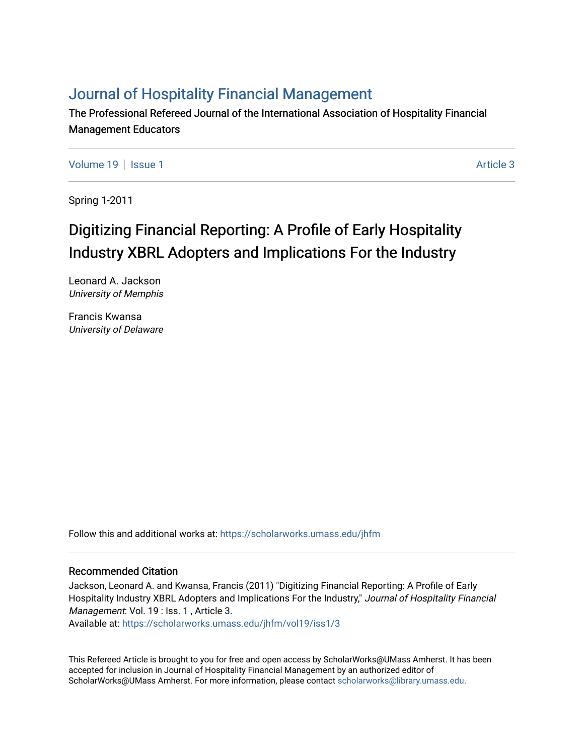# [Journal of Hospitality Financial Management](https://scholarworks.umass.edu/jhfm)

The Professional Refereed Journal of the International Association of Hospitality Financial Management Educators

[Volume 19](https://scholarworks.umass.edu/jhfm/vol19) | [Issue 1](https://scholarworks.umass.edu/jhfm/vol19/iss1) Article 3

Spring 1-2011

# Digitizing Financial Reporting: A Profile of Early Hospitality Industry XBRL Adopters and Implications For the Industry

Leonard A. Jackson University of Memphis

Francis Kwansa University of Delaware

Follow this and additional works at: [https://scholarworks.umass.edu/jhfm](https://scholarworks.umass.edu/jhfm?utm_source=scholarworks.umass.edu%2Fjhfm%2Fvol19%2Fiss1%2F3&utm_medium=PDF&utm_campaign=PDFCoverPages) 

#### Recommended Citation

Jackson, Leonard A. and Kwansa, Francis (2011) "Digitizing Financial Reporting: A Profile of Early Hospitality Industry XBRL Adopters and Implications For the Industry," Journal of Hospitality Financial Management: Vol. 19 : Iss. 1, Article 3.

Available at: [https://scholarworks.umass.edu/jhfm/vol19/iss1/3](https://scholarworks.umass.edu/jhfm/vol19/iss1/3?utm_source=scholarworks.umass.edu%2Fjhfm%2Fvol19%2Fiss1%2F3&utm_medium=PDF&utm_campaign=PDFCoverPages) 

This Refereed Article is brought to you for free and open access by ScholarWorks@UMass Amherst. It has been accepted for inclusion in Journal of Hospitality Financial Management by an authorized editor of ScholarWorks@UMass Amherst. For more information, please contact [scholarworks@library.umass.edu.](mailto:scholarworks@library.umass.edu)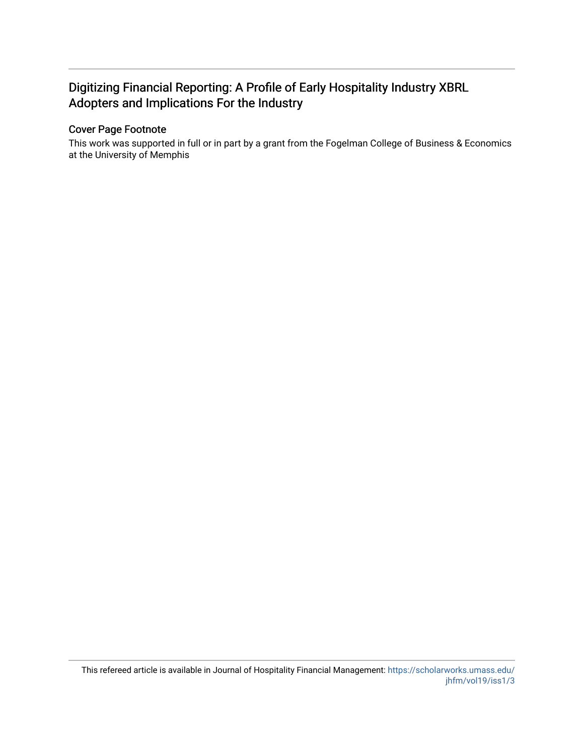# Digitizing Financial Reporting: A Profile of Early Hospitality Industry XBRL Adopters and Implications For the Industry

# Cover Page Footnote

This work was supported in full or in part by a grant from the Fogelman College of Business & Economics at the University of Memphis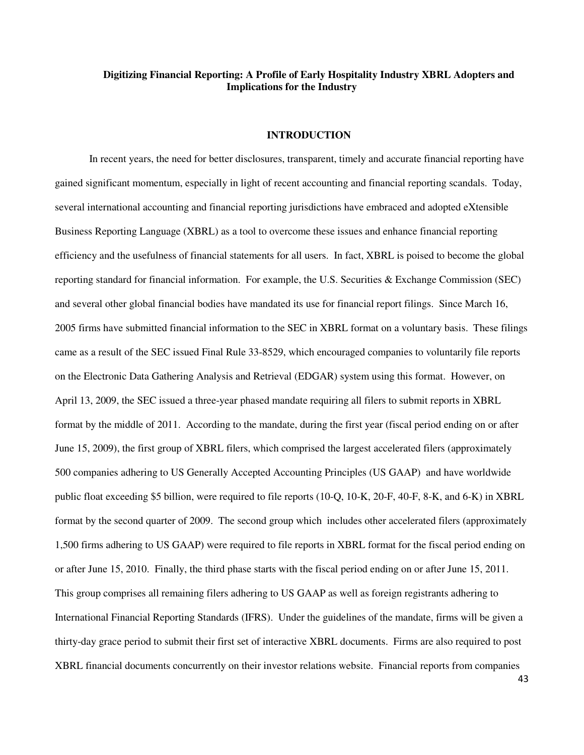#### **Digitizing Financial Reporting: A Profile of Early Hospitality Industry XBRL Adopters and Implications for the Industry**

#### **INTRODUCTION**

In recent years, the need for better disclosures, transparent, timely and accurate financial reporting have gained significant momentum, especially in light of recent accounting and financial reporting scandals. Today, several international accounting and financial reporting jurisdictions have embraced and adopted eXtensible Business Reporting Language (XBRL) as a tool to overcome these issues and enhance financial reporting efficiency and the usefulness of financial statements for all users. In fact, XBRL is poised to become the global reporting standard for financial information. For example, the U.S. Securities & Exchange Commission (SEC) and several other global financial bodies have mandated its use for financial report filings. Since March 16, 2005 firms have submitted financial information to the SEC in XBRL format on a voluntary basis. These filings came as a result of the SEC issued Final Rule 33-8529, which encouraged companies to voluntarily file reports on the Electronic Data Gathering Analysis and Retrieval (EDGAR) system using this format. However, on April 13, 2009, the SEC issued a three-year phased mandate requiring all filers to submit reports in XBRL format by the middle of 2011. According to the mandate, during the first year (fiscal period ending on or after June 15, 2009), the first group of XBRL filers, which comprised the largest accelerated filers (approximately 500 companies adhering to US Generally Accepted Accounting Principles (US GAAP) and have worldwide public float exceeding \$5 billion, were required to file reports (10-Q, 10-K, 20-F, 40-F, 8-K, and 6-K) in XBRL format by the second quarter of 2009. The second group which includes other accelerated filers (approximately 1,500 firms adhering to US GAAP) were required to file reports in XBRL format for the fiscal period ending on or after June 15, 2010. Finally, the third phase starts with the fiscal period ending on or after June 15, 2011. This group comprises all remaining filers adhering to US GAAP as well as foreign registrants adhering to International Financial Reporting Standards (IFRS). Under the guidelines of the mandate, firms will be given a thirty-day grace period to submit their first set of interactive XBRL documents. Firms are also required to post XBRL financial documents concurrently on their investor relations website. Financial reports from companies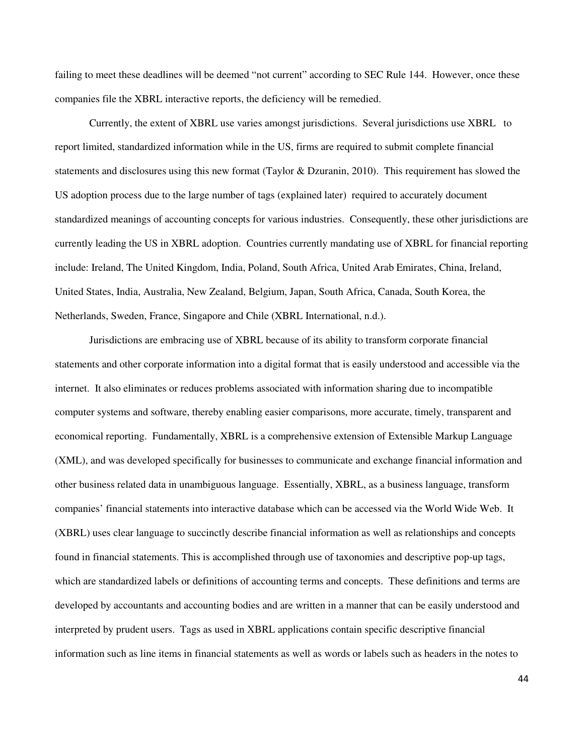failing to meet these deadlines will be deemed "not current" according to SEC Rule 144. However, once these companies file the XBRL interactive reports, the deficiency will be remedied.

Currently, the extent of XBRL use varies amongst jurisdictions. Several jurisdictions use XBRL to report limited, standardized information while in the US, firms are required to submit complete financial statements and disclosures using this new format (Taylor & Dzuranin, 2010). This requirement has slowed the US adoption process due to the large number of tags (explained later) required to accurately document standardized meanings of accounting concepts for various industries. Consequently, these other jurisdictions are currently leading the US in XBRL adoption. Countries currently mandating use of XBRL for financial reporting include: Ireland, The United Kingdom, India, Poland, South Africa, United Arab Emirates, China, Ireland, United States, India, Australia, New Zealand, Belgium, Japan, South Africa, Canada, South Korea, the Netherlands, Sweden, France, Singapore and Chile (XBRL International, n.d.).

Jurisdictions are embracing use of XBRL because of its ability to transform corporate financial statements and other corporate information into a digital format that is easily understood and accessible via the internet. It also eliminates or reduces problems associated with information sharing due to incompatible computer systems and software, thereby enabling easier comparisons, more accurate, timely, transparent and economical reporting. Fundamentally, XBRL is a comprehensive extension of Extensible Markup Language (XML), and was developed specifically for businesses to communicate and exchange financial information and other business related data in unambiguous language. Essentially, XBRL, as a business language, transform companies' financial statements into interactive database which can be accessed via the World Wide Web. It (XBRL) uses clear language to succinctly describe financial information as well as relationships and concepts found in financial statements. This is accomplished through use of taxonomies and descriptive pop-up tags, which are standardized labels or definitions of accounting terms and concepts. These definitions and terms are developed by accountants and accounting bodies and are written in a manner that can be easily understood and interpreted by prudent users. Tags as used in XBRL applications contain specific descriptive financial information such as line items in financial statements as well as words or labels such as headers in the notes to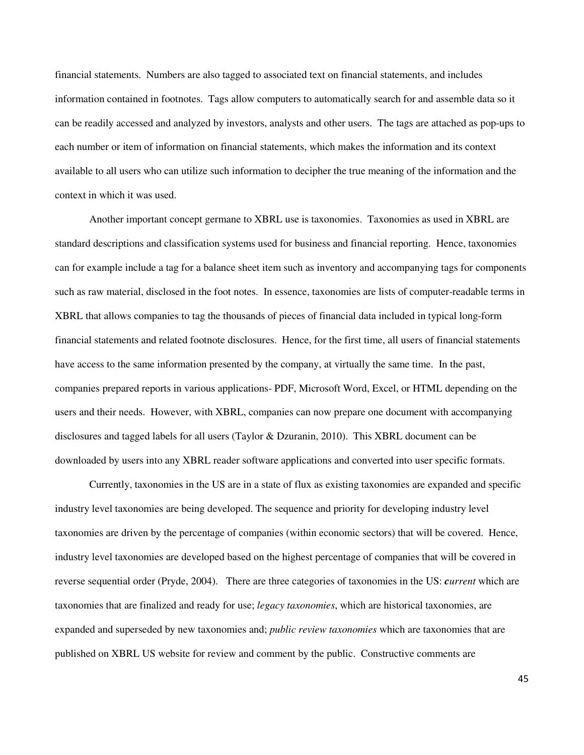financial statements. Numbers are also tagged to associated text on financial statements, and includes information contained in footnotes. Tags allow computers to automatically search for and assemble data so it can be readily accessed and analyzed by investors, analysts and other users. The tags are attached as pop-ups to each number or item of information on financial statements, which makes the information and its context available to all users who can utilize such information to decipher the true meaning of the information and the context in which it was used.

Another important concept germane to XBRL use is taxonomies. Taxonomies as used in XBRL are standard descriptions and classification systems used for business and financial reporting. Hence, taxonomies can for example include a tag for a balance sheet item such as inventory and accompanying tags for components such as raw material, disclosed in the foot notes. In essence, taxonomies are lists of computer-readable terms in XBRL that allows companies to tag the thousands of pieces of financial data included in typical long-form financial statements and related footnote disclosures. Hence, for the first time, all users of financial statements have access to the same information presented by the company, at virtually the same time. In the past, companies prepared reports in various applications- PDF, Microsoft Word, Excel, or HTML depending on the users and their needs. However, with XBRL, companies can now prepare one document with accompanying disclosures and tagged labels for all users (Taylor & Dzuranin, 2010). This XBRL document can be downloaded by users into any XBRL reader software applications and converted into user specific formats.

Currently, taxonomies in the US are in a state of flux as existing taxonomies are expanded and specific industry level taxonomies are being developed. The sequence and priority for developing industry level taxonomies are driven by the percentage of companies (within economic sectors) that will be covered. Hence, industry level taxonomies are developed based on the highest percentage of companies that will be covered in reverse sequential order (Pryde, 2004). There are three categories of taxonomies in the US: *current* which are taxonomies that are finalized and ready for use; *legacy taxonomies*, which are historical taxonomies, are expanded and superseded by new taxonomies and; *public review taxonomies* which are taxonomies that are published on XBRL US website for review and comment by the public. Constructive comments are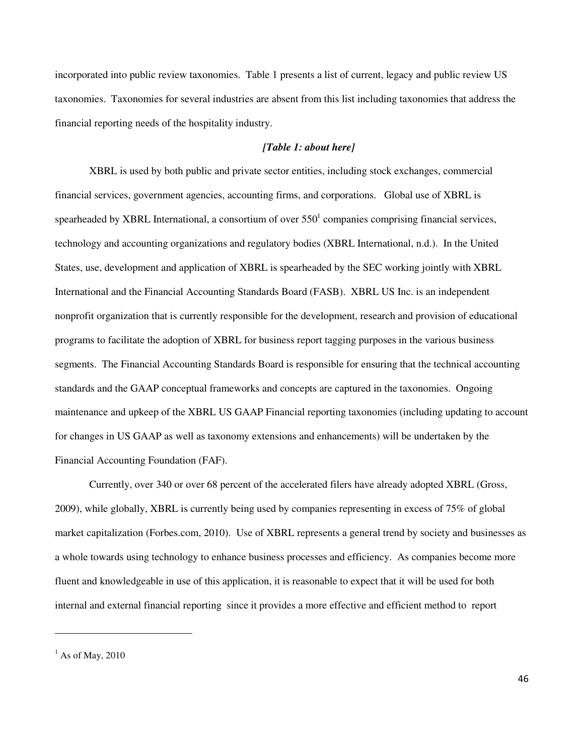incorporated into public review taxonomies. Table 1 presents a list of current, legacy and public review US taxonomies. Taxonomies for several industries are absent from this list including taxonomies that address the financial reporting needs of the hospitality industry.

#### *[Table 1: about here]*

XBRL is used by both public and private sector entities, including stock exchanges, commercial financial services, government agencies, accounting firms, and corporations. Global use of XBRL is spearheaded by XBRL International, a consortium of over  $550<sup>1</sup>$  companies comprising financial services, technology and accounting organizations and regulatory bodies (XBRL International, n.d.). In the United States, use, development and application of XBRL is spearheaded by the SEC working jointly with XBRL International and the Financial Accounting Standards Board (FASB). XBRL US Inc. is an independent nonprofit organization that is currently responsible for the development, research and provision of educational programs to facilitate the adoption of XBRL for business report tagging purposes in the various business segments. The Financial Accounting Standards Board is responsible for ensuring that the technical accounting standards and the GAAP conceptual frameworks and concepts are captured in the taxonomies. Ongoing maintenance and upkeep of the XBRL US GAAP Financial reporting taxonomies (including updating to account for changes in US GAAP as well as taxonomy extensions and enhancements) will be undertaken by the Financial Accounting Foundation (FAF).

Currently, over 340 or over 68 percent of the accelerated filers have already adopted XBRL (Gross, 2009), while globally, XBRL is currently being used by companies representing in excess of 75% of global market capitalization (Forbes.com, 2010). Use of XBRL represents a general trend by society and businesses as a whole towards using technology to enhance business processes and efficiency. As companies become more fluent and knowledgeable in use of this application, it is reasonable to expect that it will be used for both internal and external financial reporting since it provides a more effective and efficient method to report

 $\overline{a}$ 

 $<sup>1</sup>$  As of May, 2010</sup>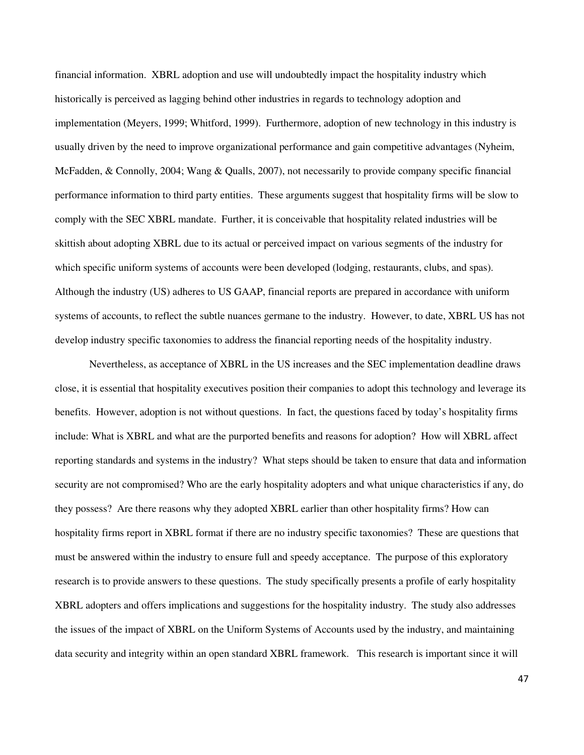financial information. XBRL adoption and use will undoubtedly impact the hospitality industry which historically is perceived as lagging behind other industries in regards to technology adoption and implementation (Meyers, 1999; Whitford, 1999). Furthermore, adoption of new technology in this industry is usually driven by the need to improve organizational performance and gain competitive advantages (Nyheim, McFadden, & Connolly, 2004; Wang & Qualls, 2007), not necessarily to provide company specific financial performance information to third party entities. These arguments suggest that hospitality firms will be slow to comply with the SEC XBRL mandate. Further, it is conceivable that hospitality related industries will be skittish about adopting XBRL due to its actual or perceived impact on various segments of the industry for which specific uniform systems of accounts were been developed (lodging, restaurants, clubs, and spas). Although the industry (US) adheres to US GAAP, financial reports are prepared in accordance with uniform systems of accounts, to reflect the subtle nuances germane to the industry. However, to date, XBRL US has not develop industry specific taxonomies to address the financial reporting needs of the hospitality industry.

Nevertheless, as acceptance of XBRL in the US increases and the SEC implementation deadline draws close, it is essential that hospitality executives position their companies to adopt this technology and leverage its benefits. However, adoption is not without questions. In fact, the questions faced by today's hospitality firms include: What is XBRL and what are the purported benefits and reasons for adoption? How will XBRL affect reporting standards and systems in the industry? What steps should be taken to ensure that data and information security are not compromised? Who are the early hospitality adopters and what unique characteristics if any, do they possess? Are there reasons why they adopted XBRL earlier than other hospitality firms? How can hospitality firms report in XBRL format if there are no industry specific taxonomies? These are questions that must be answered within the industry to ensure full and speedy acceptance. The purpose of this exploratory research is to provide answers to these questions. The study specifically presents a profile of early hospitality XBRL adopters and offers implications and suggestions for the hospitality industry. The study also addresses the issues of the impact of XBRL on the Uniform Systems of Accounts used by the industry, and maintaining data security and integrity within an open standard XBRL framework. This research is important since it will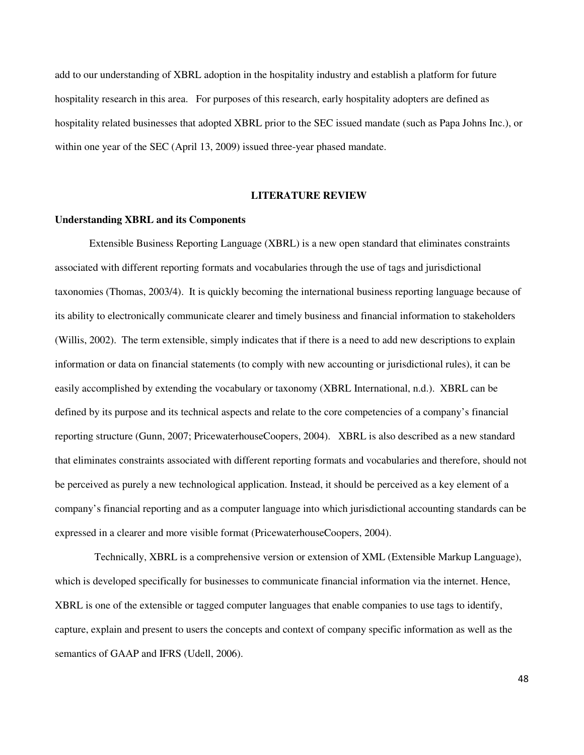add to our understanding of XBRL adoption in the hospitality industry and establish a platform for future hospitality research in this area. For purposes of this research, early hospitality adopters are defined as hospitality related businesses that adopted XBRL prior to the SEC issued mandate (such as Papa Johns Inc.), or within one year of the SEC (April 13, 2009) issued three-year phased mandate.

#### **LITERATURE REVIEW**

#### **Understanding XBRL and its Components**

Extensible Business Reporting Language (XBRL) is a new open standard that eliminates constraints associated with different reporting formats and vocabularies through the use of tags and jurisdictional taxonomies (Thomas, 2003/4). It is quickly becoming the international business reporting language because of its ability to electronically communicate clearer and timely business and financial information to stakeholders (Willis, 2002). The term extensible, simply indicates that if there is a need to add new descriptions to explain information or data on financial statements (to comply with new accounting or jurisdictional rules), it can be easily accomplished by extending the vocabulary or taxonomy (XBRL International, n.d.). XBRL can be defined by its purpose and its technical aspects and relate to the core competencies of a company's financial reporting structure (Gunn, 2007; PricewaterhouseCoopers, 2004). XBRL is also described as a new standard that eliminates constraints associated with different reporting formats and vocabularies and therefore, should not be perceived as purely a new technological application. Instead, it should be perceived as a key element of a company's financial reporting and as a computer language into which jurisdictional accounting standards can be expressed in a clearer and more visible format (PricewaterhouseCoopers, 2004).

 Technically, XBRL is a comprehensive version or extension of XML (Extensible Markup Language), which is developed specifically for businesses to communicate financial information via the internet. Hence, XBRL is one of the extensible or tagged computer languages that enable companies to use tags to identify, capture, explain and present to users the concepts and context of company specific information as well as the semantics of GAAP and IFRS (Udell, 2006).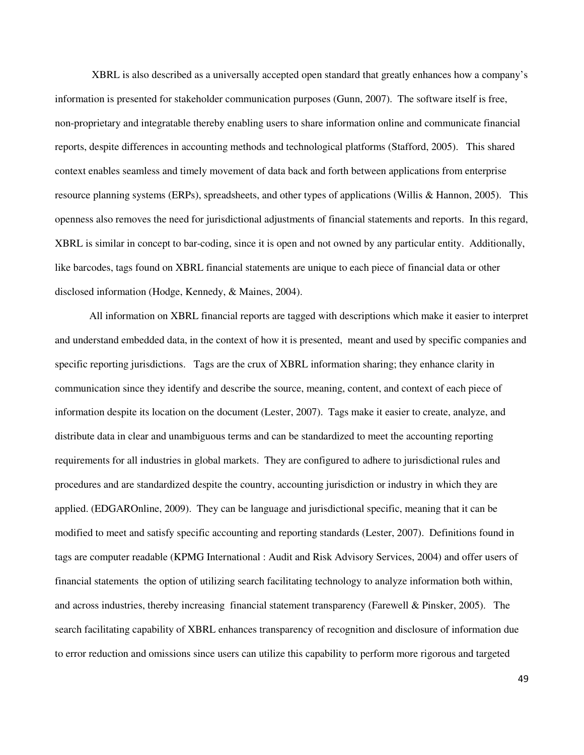XBRL is also described as a universally accepted open standard that greatly enhances how a company's information is presented for stakeholder communication purposes (Gunn, 2007). The software itself is free, non-proprietary and integratable thereby enabling users to share information online and communicate financial reports, despite differences in accounting methods and technological platforms (Stafford, 2005). This shared context enables seamless and timely movement of data back and forth between applications from enterprise resource planning systems (ERPs), spreadsheets, and other types of applications (Willis & Hannon, 2005). This openness also removes the need for jurisdictional adjustments of financial statements and reports. In this regard, XBRL is similar in concept to bar-coding, since it is open and not owned by any particular entity. Additionally, like barcodes, tags found on XBRL financial statements are unique to each piece of financial data or other disclosed information (Hodge, Kennedy, & Maines, 2004).

All information on XBRL financial reports are tagged with descriptions which make it easier to interpret and understand embedded data, in the context of how it is presented, meant and used by specific companies and specific reporting jurisdictions. Tags are the crux of XBRL information sharing; they enhance clarity in communication since they identify and describe the source, meaning, content, and context of each piece of information despite its location on the document (Lester, 2007). Tags make it easier to create, analyze, and distribute data in clear and unambiguous terms and can be standardized to meet the accounting reporting requirements for all industries in global markets. They are configured to adhere to jurisdictional rules and procedures and are standardized despite the country, accounting jurisdiction or industry in which they are applied. (EDGAROnline, 2009). They can be language and jurisdictional specific, meaning that it can be modified to meet and satisfy specific accounting and reporting standards (Lester, 2007). Definitions found in tags are computer readable (KPMG International : Audit and Risk Advisory Services, 2004) and offer users of financial statements the option of utilizing search facilitating technology to analyze information both within, and across industries, thereby increasing financial statement transparency (Farewell & Pinsker, 2005). The search facilitating capability of XBRL enhances transparency of recognition and disclosure of information due to error reduction and omissions since users can utilize this capability to perform more rigorous and targeted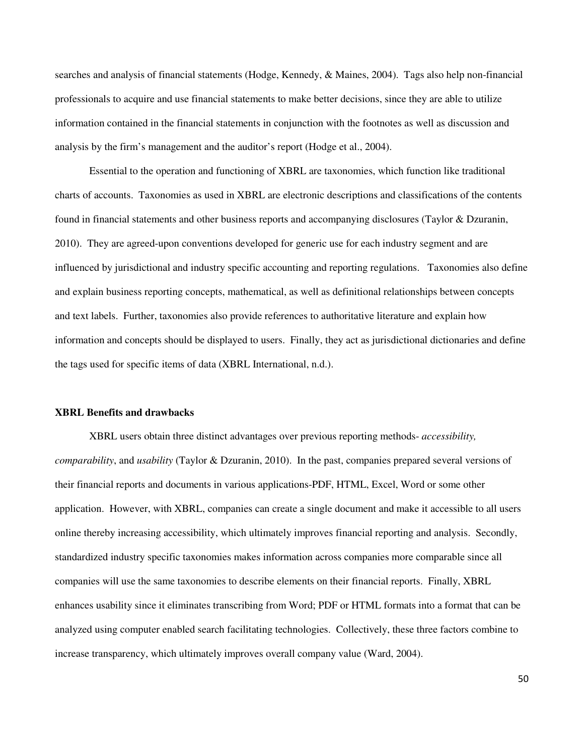searches and analysis of financial statements (Hodge, Kennedy, & Maines, 2004). Tags also help non-financial professionals to acquire and use financial statements to make better decisions, since they are able to utilize information contained in the financial statements in conjunction with the footnotes as well as discussion and analysis by the firm's management and the auditor's report (Hodge et al., 2004).

Essential to the operation and functioning of XBRL are taxonomies, which function like traditional charts of accounts. Taxonomies as used in XBRL are electronic descriptions and classifications of the contents found in financial statements and other business reports and accompanying disclosures (Taylor & Dzuranin, 2010). They are agreed-upon conventions developed for generic use for each industry segment and are influenced by jurisdictional and industry specific accounting and reporting regulations. Taxonomies also define and explain business reporting concepts, mathematical, as well as definitional relationships between concepts and text labels. Further, taxonomies also provide references to authoritative literature and explain how information and concepts should be displayed to users. Finally, they act as jurisdictional dictionaries and define the tags used for specific items of data (XBRL International, n.d.).

#### **XBRL Benefits and drawbacks**

XBRL users obtain three distinct advantages over previous reporting methods- *accessibility, comparability*, and *usability* (Taylor & Dzuranin, 2010). In the past, companies prepared several versions of their financial reports and documents in various applications-PDF, HTML, Excel, Word or some other application. However, with XBRL, companies can create a single document and make it accessible to all users online thereby increasing accessibility, which ultimately improves financial reporting and analysis. Secondly, standardized industry specific taxonomies makes information across companies more comparable since all companies will use the same taxonomies to describe elements on their financial reports. Finally, XBRL enhances usability since it eliminates transcribing from Word; PDF or HTML formats into a format that can be analyzed using computer enabled search facilitating technologies. Collectively, these three factors combine to increase transparency, which ultimately improves overall company value (Ward, 2004).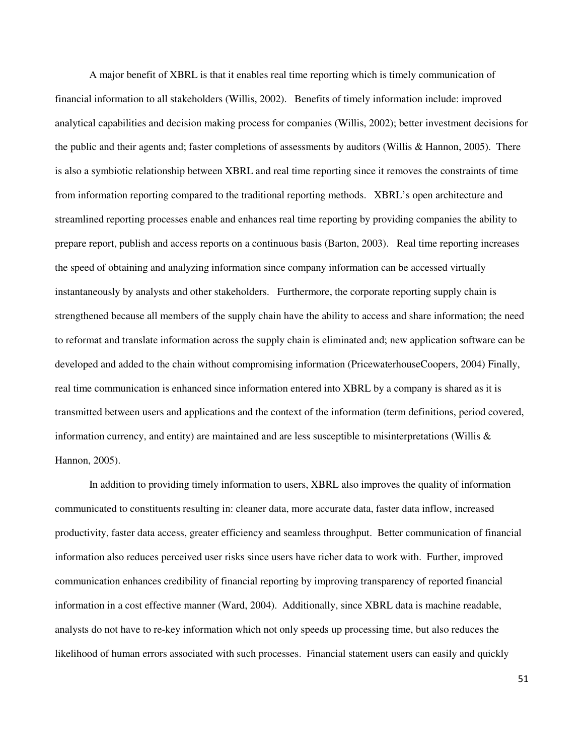A major benefit of XBRL is that it enables real time reporting which is timely communication of financial information to all stakeholders (Willis, 2002). Benefits of timely information include: improved analytical capabilities and decision making process for companies (Willis, 2002); better investment decisions for the public and their agents and; faster completions of assessments by auditors (Willis & Hannon, 2005). There is also a symbiotic relationship between XBRL and real time reporting since it removes the constraints of time from information reporting compared to the traditional reporting methods. XBRL's open architecture and streamlined reporting processes enable and enhances real time reporting by providing companies the ability to prepare report, publish and access reports on a continuous basis (Barton, 2003). Real time reporting increases the speed of obtaining and analyzing information since company information can be accessed virtually instantaneously by analysts and other stakeholders. Furthermore, the corporate reporting supply chain is strengthened because all members of the supply chain have the ability to access and share information; the need to reformat and translate information across the supply chain is eliminated and; new application software can be developed and added to the chain without compromising information (PricewaterhouseCoopers, 2004) Finally, real time communication is enhanced since information entered into XBRL by a company is shared as it is transmitted between users and applications and the context of the information (term definitions, period covered, information currency, and entity) are maintained and are less susceptible to misinterpretations (Willis  $\&$ Hannon, 2005).

In addition to providing timely information to users, XBRL also improves the quality of information communicated to constituents resulting in: cleaner data, more accurate data, faster data inflow, increased productivity, faster data access, greater efficiency and seamless throughput. Better communication of financial information also reduces perceived user risks since users have richer data to work with. Further, improved communication enhances credibility of financial reporting by improving transparency of reported financial information in a cost effective manner (Ward, 2004). Additionally, since XBRL data is machine readable, analysts do not have to re-key information which not only speeds up processing time, but also reduces the likelihood of human errors associated with such processes. Financial statement users can easily and quickly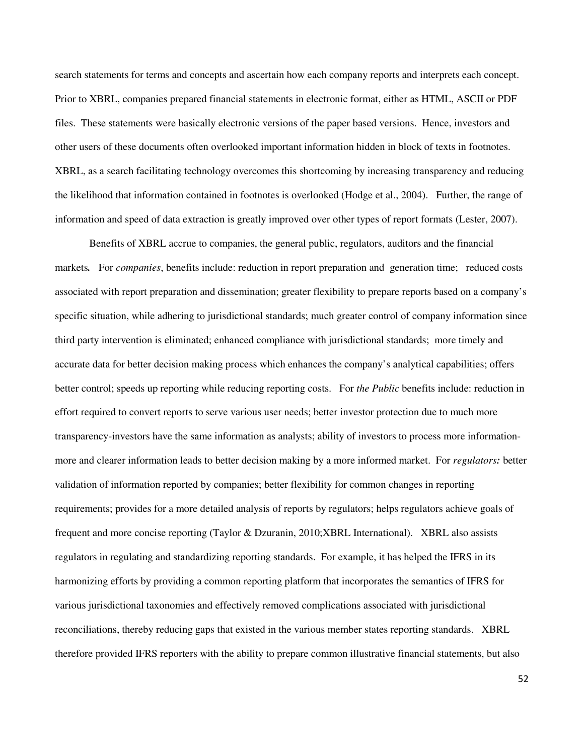search statements for terms and concepts and ascertain how each company reports and interprets each concept. Prior to XBRL, companies prepared financial statements in electronic format, either as HTML, ASCII or PDF files. These statements were basically electronic versions of the paper based versions. Hence, investors and other users of these documents often overlooked important information hidden in block of texts in footnotes. XBRL, as a search facilitating technology overcomes this shortcoming by increasing transparency and reducing the likelihood that information contained in footnotes is overlooked (Hodge et al., 2004). Further, the range of information and speed of data extraction is greatly improved over other types of report formats (Lester, 2007).

Benefits of XBRL accrue to companies, the general public, regulators, auditors and the financial markets*.* For *companies*, benefits include: reduction in report preparation and generation time; reduced costs associated with report preparation and dissemination; greater flexibility to prepare reports based on a company's specific situation, while adhering to jurisdictional standards; much greater control of company information since third party intervention is eliminated; enhanced compliance with jurisdictional standards; more timely and accurate data for better decision making process which enhances the company's analytical capabilities; offers better control; speeds up reporting while reducing reporting costs. For *the Public* benefits include: reduction in effort required to convert reports to serve various user needs; better investor protection due to much more transparency-investors have the same information as analysts; ability of investors to process more informationmore and clearer information leads to better decision making by a more informed market. For *regulators:* better validation of information reported by companies; better flexibility for common changes in reporting requirements; provides for a more detailed analysis of reports by regulators; helps regulators achieve goals of frequent and more concise reporting (Taylor & Dzuranin, 2010;XBRL International). XBRL also assists regulators in regulating and standardizing reporting standards. For example, it has helped the IFRS in its harmonizing efforts by providing a common reporting platform that incorporates the semantics of IFRS for various jurisdictional taxonomies and effectively removed complications associated with jurisdictional reconciliations, thereby reducing gaps that existed in the various member states reporting standards. XBRL therefore provided IFRS reporters with the ability to prepare common illustrative financial statements, but also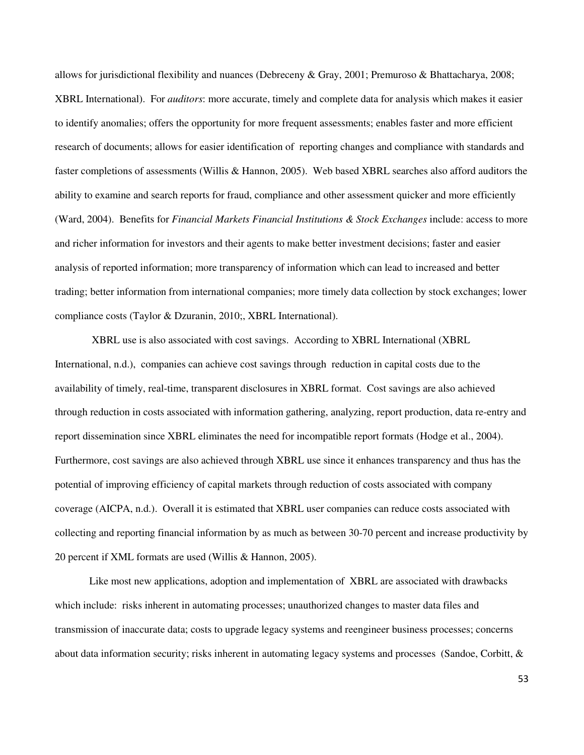allows for jurisdictional flexibility and nuances (Debreceny & Gray, 2001; Premuroso & Bhattacharya, 2008; XBRL International). For *auditors*: more accurate, timely and complete data for analysis which makes it easier to identify anomalies; offers the opportunity for more frequent assessments; enables faster and more efficient research of documents; allows for easier identification of reporting changes and compliance with standards and faster completions of assessments (Willis & Hannon, 2005). Web based XBRL searches also afford auditors the ability to examine and search reports for fraud, compliance and other assessment quicker and more efficiently (Ward, 2004). Benefits for *Financial Markets Financial Institutions & Stock Exchanges* include: access to more and richer information for investors and their agents to make better investment decisions; faster and easier analysis of reported information; more transparency of information which can lead to increased and better trading; better information from international companies; more timely data collection by stock exchanges; lower compliance costs (Taylor & Dzuranin, 2010;, XBRL International).

 XBRL use is also associated with cost savings. According to XBRL International (XBRL International, n.d.), companies can achieve cost savings through reduction in capital costs due to the availability of timely, real-time, transparent disclosures in XBRL format. Cost savings are also achieved through reduction in costs associated with information gathering, analyzing, report production, data re-entry and report dissemination since XBRL eliminates the need for incompatible report formats (Hodge et al., 2004). Furthermore, cost savings are also achieved through XBRL use since it enhances transparency and thus has the potential of improving efficiency of capital markets through reduction of costs associated with company coverage (AICPA, n.d.). Overall it is estimated that XBRL user companies can reduce costs associated with collecting and reporting financial information by as much as between 30-70 percent and increase productivity by 20 percent if XML formats are used (Willis & Hannon, 2005).

Like most new applications, adoption and implementation of XBRL are associated with drawbacks which include: risks inherent in automating processes; unauthorized changes to master data files and transmission of inaccurate data; costs to upgrade legacy systems and reengineer business processes; concerns about data information security; risks inherent in automating legacy systems and processes (Sandoe, Corbitt, &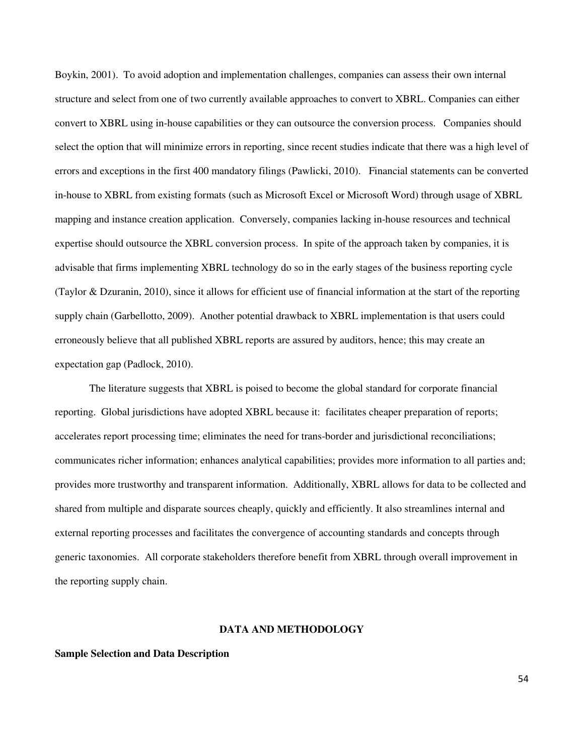Boykin, 2001). To avoid adoption and implementation challenges, companies can assess their own internal structure and select from one of two currently available approaches to convert to XBRL. Companies can either convert to XBRL using in-house capabilities or they can outsource the conversion process. Companies should select the option that will minimize errors in reporting, since recent studies indicate that there was a high level of errors and exceptions in the first 400 mandatory filings (Pawlicki, 2010). Financial statements can be converted in-house to XBRL from existing formats (such as Microsoft Excel or Microsoft Word) through usage of XBRL mapping and instance creation application. Conversely, companies lacking in-house resources and technical expertise should outsource the XBRL conversion process. In spite of the approach taken by companies, it is advisable that firms implementing XBRL technology do so in the early stages of the business reporting cycle (Taylor & Dzuranin, 2010), since it allows for efficient use of financial information at the start of the reporting supply chain (Garbellotto, 2009). Another potential drawback to XBRL implementation is that users could erroneously believe that all published XBRL reports are assured by auditors, hence; this may create an expectation gap (Padlock, 2010).

The literature suggests that XBRL is poised to become the global standard for corporate financial reporting. Global jurisdictions have adopted XBRL because it: facilitates cheaper preparation of reports; accelerates report processing time; eliminates the need for trans-border and jurisdictional reconciliations; communicates richer information; enhances analytical capabilities; provides more information to all parties and; provides more trustworthy and transparent information. Additionally, XBRL allows for data to be collected and shared from multiple and disparate sources cheaply, quickly and efficiently. It also streamlines internal and external reporting processes and facilitates the convergence of accounting standards and concepts through generic taxonomies. All corporate stakeholders therefore benefit from XBRL through overall improvement in the reporting supply chain.

#### **DATA AND METHODOLOGY**

#### **Sample Selection and Data Description**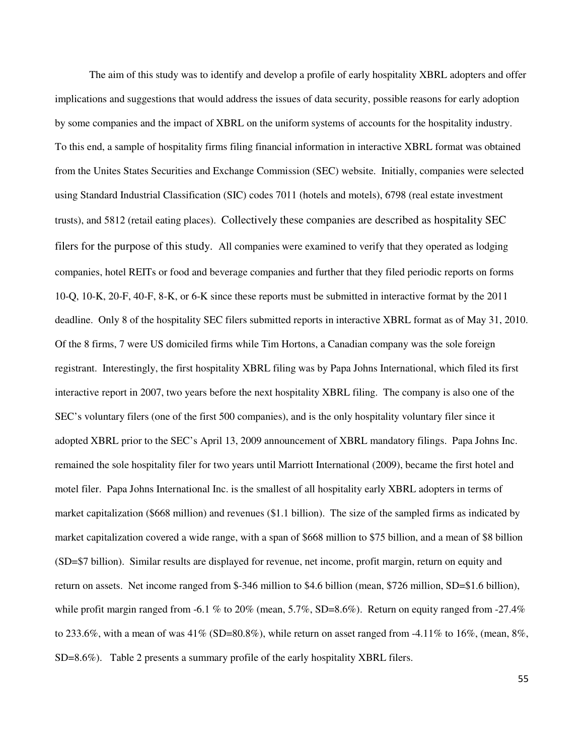The aim of this study was to identify and develop a profile of early hospitality XBRL adopters and offer implications and suggestions that would address the issues of data security, possible reasons for early adoption by some companies and the impact of XBRL on the uniform systems of accounts for the hospitality industry. To this end, a sample of hospitality firms filing financial information in interactive XBRL format was obtained from the Unites States Securities and Exchange Commission (SEC) website. Initially, companies were selected using Standard Industrial Classification (SIC) codes 7011 (hotels and motels), 6798 (real estate investment trusts), and 5812 (retail eating places). Collectively these companies are described as hospitality SEC filers for the purpose of this study. All companies were examined to verify that they operated as lodging companies, hotel REITs or food and beverage companies and further that they filed periodic reports on forms 10-Q, 10-K, 20-F, 40-F, 8-K, or 6-K since these reports must be submitted in interactive format by the 2011 deadline. Only 8 of the hospitality SEC filers submitted reports in interactive XBRL format as of May 31, 2010. Of the 8 firms, 7 were US domiciled firms while Tim Hortons, a Canadian company was the sole foreign registrant. Interestingly, the first hospitality XBRL filing was by Papa Johns International, which filed its first interactive report in 2007, two years before the next hospitality XBRL filing. The company is also one of the SEC's voluntary filers (one of the first 500 companies), and is the only hospitality voluntary filer since it adopted XBRL prior to the SEC's April 13, 2009 announcement of XBRL mandatory filings. Papa Johns Inc. remained the sole hospitality filer for two years until Marriott International (2009), became the first hotel and motel filer. Papa Johns International Inc. is the smallest of all hospitality early XBRL adopters in terms of market capitalization (\$668 million) and revenues (\$1.1 billion). The size of the sampled firms as indicated by market capitalization covered a wide range, with a span of \$668 million to \$75 billion, and a mean of \$8 billion (SD=\$7 billion). Similar results are displayed for revenue, net income, profit margin, return on equity and return on assets. Net income ranged from \$-346 million to \$4.6 billion (mean, \$726 million, SD=\$1.6 billion), while profit margin ranged from  $-6.1\%$  to 20% (mean,  $5.7\%$ , SD=8.6%). Return on equity ranged from  $-27.4\%$ to 233.6%, with a mean of was  $41\%$  (SD=80.8%), while return on asset ranged from -4.11% to 16%, (mean, 8%, SD=8.6%). Table 2 presents a summary profile of the early hospitality XBRL filers.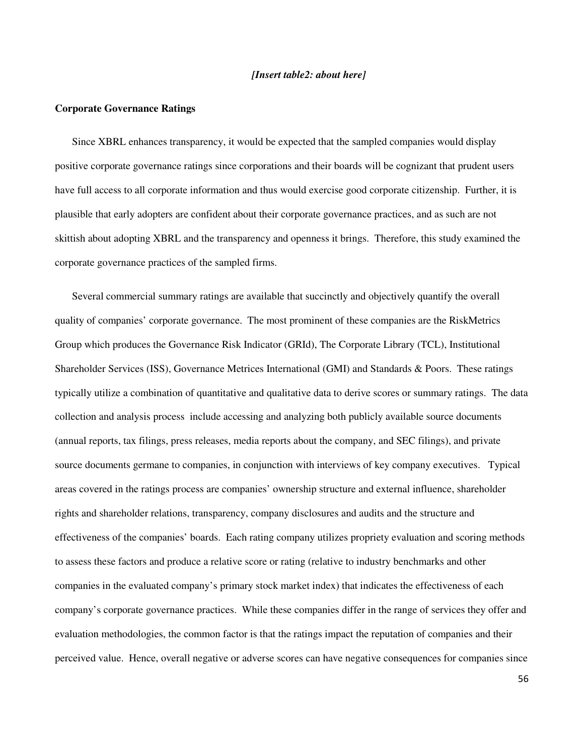#### *[Insert table2: about here]*

#### **Corporate Governance Ratings**

Since XBRL enhances transparency, it would be expected that the sampled companies would display positive corporate governance ratings since corporations and their boards will be cognizant that prudent users have full access to all corporate information and thus would exercise good corporate citizenship. Further, it is plausible that early adopters are confident about their corporate governance practices, and as such are not skittish about adopting XBRL and the transparency and openness it brings. Therefore, this study examined the corporate governance practices of the sampled firms.

Several commercial summary ratings are available that succinctly and objectively quantify the overall quality of companies' corporate governance. The most prominent of these companies are the RiskMetrics Group which produces the Governance Risk Indicator (GRId), The Corporate Library (TCL), Institutional Shareholder Services (ISS), Governance Metrices International (GMI) and Standards & Poors. These ratings typically utilize a combination of quantitative and qualitative data to derive scores or summary ratings. The data collection and analysis process include accessing and analyzing both publicly available source documents (annual reports, tax filings, press releases, media reports about the company, and SEC filings), and private source documents germane to companies, in conjunction with interviews of key company executives. Typical areas covered in the ratings process are companies' ownership structure and external influence, shareholder rights and shareholder relations, transparency, company disclosures and audits and the structure and effectiveness of the companies' boards. Each rating company utilizes propriety evaluation and scoring methods to assess these factors and produce a relative score or rating (relative to industry benchmarks and other companies in the evaluated company's primary stock market index) that indicates the effectiveness of each company's corporate governance practices. While these companies differ in the range of services they offer and evaluation methodologies, the common factor is that the ratings impact the reputation of companies and their perceived value. Hence, overall negative or adverse scores can have negative consequences for companies since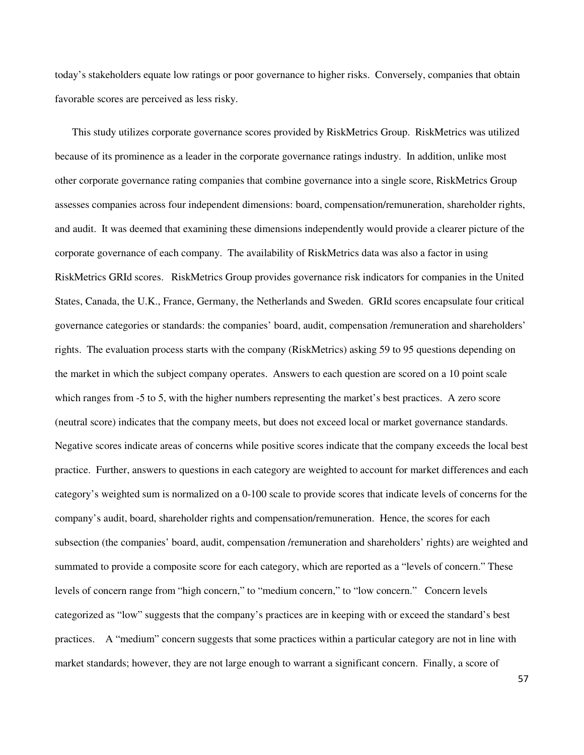today's stakeholders equate low ratings or poor governance to higher risks. Conversely, companies that obtain favorable scores are perceived as less risky.

This study utilizes corporate governance scores provided by RiskMetrics Group. RiskMetrics was utilized because of its prominence as a leader in the corporate governance ratings industry. In addition, unlike most other corporate governance rating companies that combine governance into a single score, RiskMetrics Group assesses companies across four independent dimensions: board, compensation/remuneration, shareholder rights, and audit. It was deemed that examining these dimensions independently would provide a clearer picture of the corporate governance of each company. The availability of RiskMetrics data was also a factor in using RiskMetrics GRId scores. RiskMetrics Group provides governance risk indicators for companies in the United States, Canada, the U.K., France, Germany, the Netherlands and Sweden. GRId scores encapsulate four critical governance categories or standards: the companies' board, audit, compensation /remuneration and shareholders' rights. The evaluation process starts with the company (RiskMetrics) asking 59 to 95 questions depending on the market in which the subject company operates. Answers to each question are scored on a 10 point scale which ranges from -5 to 5, with the higher numbers representing the market's best practices. A zero score (neutral score) indicates that the company meets, but does not exceed local or market governance standards. Negative scores indicate areas of concerns while positive scores indicate that the company exceeds the local best practice. Further, answers to questions in each category are weighted to account for market differences and each category's weighted sum is normalized on a 0-100 scale to provide scores that indicate levels of concerns for the company's audit, board, shareholder rights and compensation/remuneration. Hence, the scores for each subsection (the companies' board, audit, compensation /remuneration and shareholders' rights) are weighted and summated to provide a composite score for each category, which are reported as a "levels of concern." These levels of concern range from "high concern," to "medium concern," to "low concern." Concern levels categorized as "low" suggests that the company's practices are in keeping with or exceed the standard's best practices. A "medium" concern suggests that some practices within a particular category are not in line with market standards; however, they are not large enough to warrant a significant concern. Finally, a score of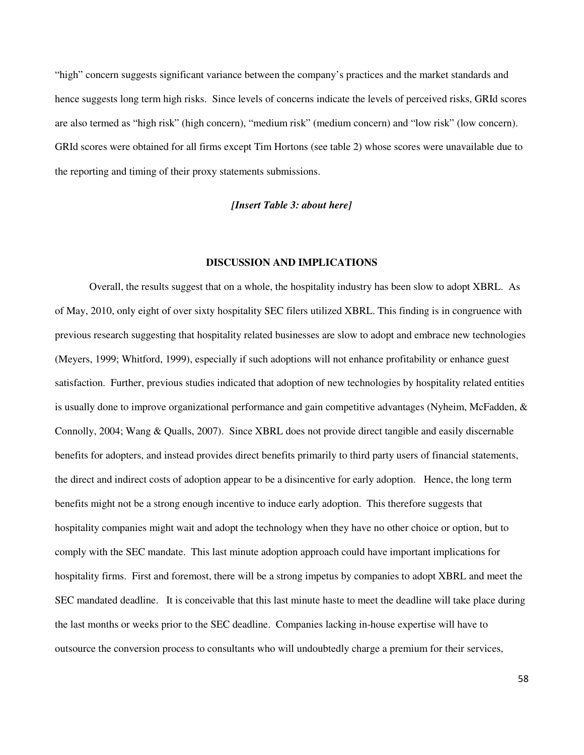"high" concern suggests significant variance between the company's practices and the market standards and hence suggests long term high risks. Since levels of concerns indicate the levels of perceived risks, GRId scores are also termed as "high risk" (high concern), "medium risk" (medium concern) and "low risk" (low concern). GRId scores were obtained for all firms except Tim Hortons (see table 2) whose scores were unavailable due to the reporting and timing of their proxy statements submissions.

#### *[Insert Table 3: about here]*

#### **DISCUSSION AND IMPLICATIONS**

Overall, the results suggest that on a whole, the hospitality industry has been slow to adopt XBRL. As of May, 2010, only eight of over sixty hospitality SEC filers utilized XBRL. This finding is in congruence with previous research suggesting that hospitality related businesses are slow to adopt and embrace new technologies (Meyers, 1999; Whitford, 1999), especially if such adoptions will not enhance profitability or enhance guest satisfaction. Further, previous studies indicated that adoption of new technologies by hospitality related entities is usually done to improve organizational performance and gain competitive advantages (Nyheim, McFadden, & Connolly, 2004; Wang & Qualls, 2007). Since XBRL does not provide direct tangible and easily discernable benefits for adopters, and instead provides direct benefits primarily to third party users of financial statements, the direct and indirect costs of adoption appear to be a disincentive for early adoption. Hence, the long term benefits might not be a strong enough incentive to induce early adoption. This therefore suggests that hospitality companies might wait and adopt the technology when they have no other choice or option, but to comply with the SEC mandate. This last minute adoption approach could have important implications for hospitality firms. First and foremost, there will be a strong impetus by companies to adopt XBRL and meet the SEC mandated deadline. It is conceivable that this last minute haste to meet the deadline will take place during the last months or weeks prior to the SEC deadline. Companies lacking in-house expertise will have to outsource the conversion process to consultants who will undoubtedly charge a premium for their services,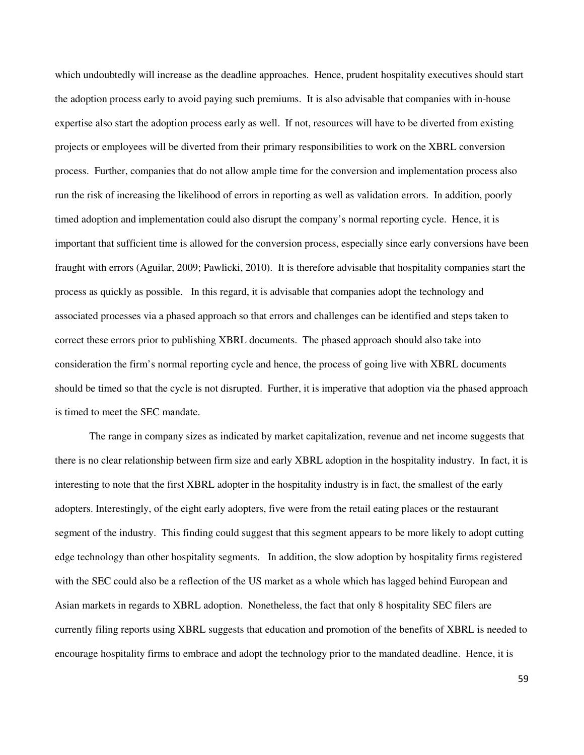which undoubtedly will increase as the deadline approaches. Hence, prudent hospitality executives should start the adoption process early to avoid paying such premiums. It is also advisable that companies with in-house expertise also start the adoption process early as well. If not, resources will have to be diverted from existing projects or employees will be diverted from their primary responsibilities to work on the XBRL conversion process. Further, companies that do not allow ample time for the conversion and implementation process also run the risk of increasing the likelihood of errors in reporting as well as validation errors. In addition, poorly timed adoption and implementation could also disrupt the company's normal reporting cycle. Hence, it is important that sufficient time is allowed for the conversion process, especially since early conversions have been fraught with errors (Aguilar, 2009; Pawlicki, 2010). It is therefore advisable that hospitality companies start the process as quickly as possible. In this regard, it is advisable that companies adopt the technology and associated processes via a phased approach so that errors and challenges can be identified and steps taken to correct these errors prior to publishing XBRL documents. The phased approach should also take into consideration the firm's normal reporting cycle and hence, the process of going live with XBRL documents should be timed so that the cycle is not disrupted. Further, it is imperative that adoption via the phased approach is timed to meet the SEC mandate.

The range in company sizes as indicated by market capitalization, revenue and net income suggests that there is no clear relationship between firm size and early XBRL adoption in the hospitality industry. In fact, it is interesting to note that the first XBRL adopter in the hospitality industry is in fact, the smallest of the early adopters. Interestingly, of the eight early adopters, five were from the retail eating places or the restaurant segment of the industry. This finding could suggest that this segment appears to be more likely to adopt cutting edge technology than other hospitality segments. In addition, the slow adoption by hospitality firms registered with the SEC could also be a reflection of the US market as a whole which has lagged behind European and Asian markets in regards to XBRL adoption. Nonetheless, the fact that only 8 hospitality SEC filers are currently filing reports using XBRL suggests that education and promotion of the benefits of XBRL is needed to encourage hospitality firms to embrace and adopt the technology prior to the mandated deadline. Hence, it is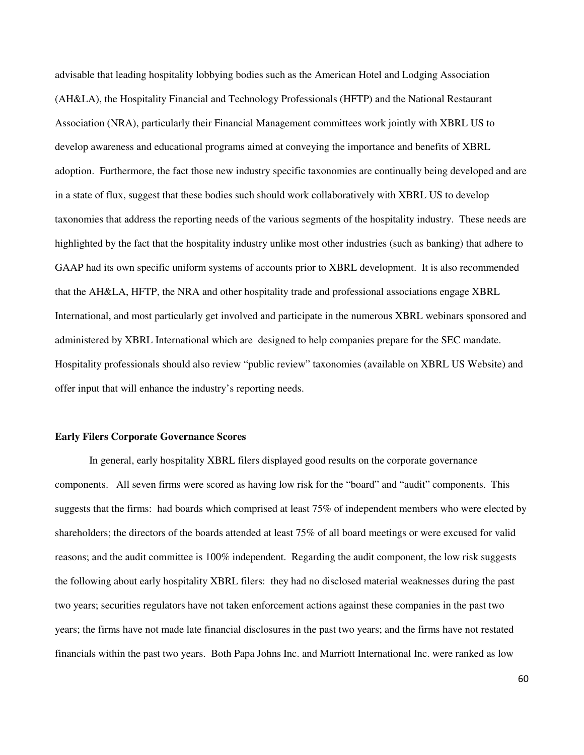advisable that leading hospitality lobbying bodies such as the American Hotel and Lodging Association (AH&LA), the Hospitality Financial and Technology Professionals (HFTP) and the National Restaurant Association (NRA), particularly their Financial Management committees work jointly with XBRL US to develop awareness and educational programs aimed at conveying the importance and benefits of XBRL adoption. Furthermore, the fact those new industry specific taxonomies are continually being developed and are in a state of flux, suggest that these bodies such should work collaboratively with XBRL US to develop taxonomies that address the reporting needs of the various segments of the hospitality industry. These needs are highlighted by the fact that the hospitality industry unlike most other industries (such as banking) that adhere to GAAP had its own specific uniform systems of accounts prior to XBRL development. It is also recommended that the AH&LA, HFTP, the NRA and other hospitality trade and professional associations engage XBRL International, and most particularly get involved and participate in the numerous XBRL webinars sponsored and administered by XBRL International which are designed to help companies prepare for the SEC mandate. Hospitality professionals should also review "public review" taxonomies (available on XBRL US Website) and offer input that will enhance the industry's reporting needs.

#### **Early Filers Corporate Governance Scores**

In general, early hospitality XBRL filers displayed good results on the corporate governance components. All seven firms were scored as having low risk for the "board" and "audit" components. This suggests that the firms: had boards which comprised at least 75% of independent members who were elected by shareholders; the directors of the boards attended at least 75% of all board meetings or were excused for valid reasons; and the audit committee is 100% independent. Regarding the audit component, the low risk suggests the following about early hospitality XBRL filers: they had no disclosed material weaknesses during the past two years; securities regulators have not taken enforcement actions against these companies in the past two years; the firms have not made late financial disclosures in the past two years; and the firms have not restated financials within the past two years. Both Papa Johns Inc. and Marriott International Inc. were ranked as low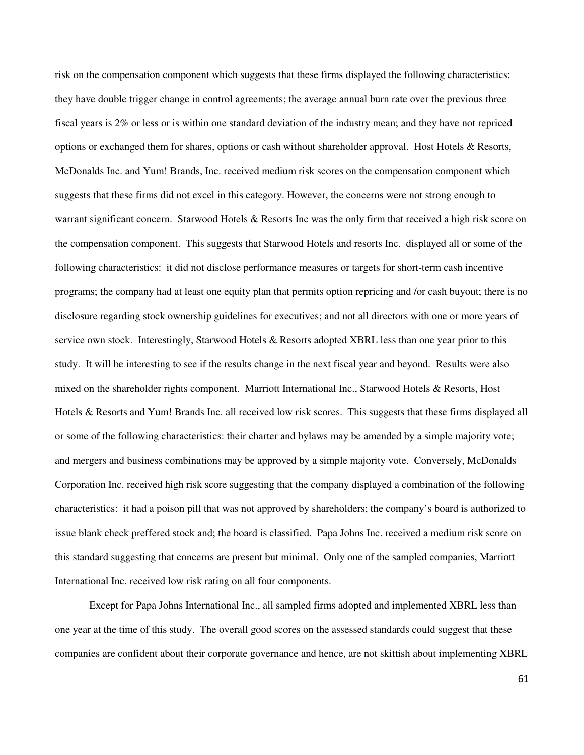risk on the compensation component which suggests that these firms displayed the following characteristics: they have double trigger change in control agreements; the average annual burn rate over the previous three fiscal years is 2% or less or is within one standard deviation of the industry mean; and they have not repriced options or exchanged them for shares, options or cash without shareholder approval. Host Hotels & Resorts, McDonalds Inc. and Yum! Brands, Inc. received medium risk scores on the compensation component which suggests that these firms did not excel in this category. However, the concerns were not strong enough to warrant significant concern. Starwood Hotels & Resorts Inc was the only firm that received a high risk score on the compensation component. This suggests that Starwood Hotels and resorts Inc. displayed all or some of the following characteristics: it did not disclose performance measures or targets for short-term cash incentive programs; the company had at least one equity plan that permits option repricing and /or cash buyout; there is no disclosure regarding stock ownership guidelines for executives; and not all directors with one or more years of service own stock. Interestingly, Starwood Hotels & Resorts adopted XBRL less than one year prior to this study. It will be interesting to see if the results change in the next fiscal year and beyond. Results were also mixed on the shareholder rights component. Marriott International Inc., Starwood Hotels & Resorts, Host Hotels & Resorts and Yum! Brands Inc. all received low risk scores. This suggests that these firms displayed all or some of the following characteristics: their charter and bylaws may be amended by a simple majority vote; and mergers and business combinations may be approved by a simple majority vote. Conversely, McDonalds Corporation Inc. received high risk score suggesting that the company displayed a combination of the following characteristics: it had a poison pill that was not approved by shareholders; the company's board is authorized to issue blank check preffered stock and; the board is classified. Papa Johns Inc. received a medium risk score on this standard suggesting that concerns are present but minimal. Only one of the sampled companies, Marriott International Inc. received low risk rating on all four components.

Except for Papa Johns International Inc., all sampled firms adopted and implemented XBRL less than one year at the time of this study. The overall good scores on the assessed standards could suggest that these companies are confident about their corporate governance and hence, are not skittish about implementing XBRL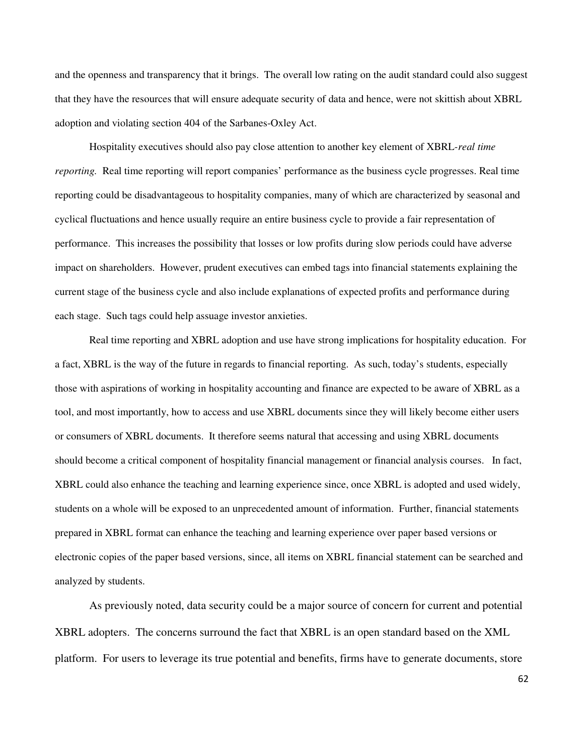and the openness and transparency that it brings. The overall low rating on the audit standard could also suggest that they have the resources that will ensure adequate security of data and hence, were not skittish about XBRL adoption and violating section 404 of the Sarbanes-Oxley Act.

Hospitality executives should also pay close attention to another key element of XBRL*-real time reporting.* Real time reporting will report companies' performance as the business cycle progresses. Real time reporting could be disadvantageous to hospitality companies, many of which are characterized by seasonal and cyclical fluctuations and hence usually require an entire business cycle to provide a fair representation of performance. This increases the possibility that losses or low profits during slow periods could have adverse impact on shareholders. However, prudent executives can embed tags into financial statements explaining the current stage of the business cycle and also include explanations of expected profits and performance during each stage. Such tags could help assuage investor anxieties.

Real time reporting and XBRL adoption and use have strong implications for hospitality education. For a fact, XBRL is the way of the future in regards to financial reporting. As such, today's students, especially those with aspirations of working in hospitality accounting and finance are expected to be aware of XBRL as a tool, and most importantly, how to access and use XBRL documents since they will likely become either users or consumers of XBRL documents. It therefore seems natural that accessing and using XBRL documents should become a critical component of hospitality financial management or financial analysis courses. In fact, XBRL could also enhance the teaching and learning experience since, once XBRL is adopted and used widely, students on a whole will be exposed to an unprecedented amount of information. Further, financial statements prepared in XBRL format can enhance the teaching and learning experience over paper based versions or electronic copies of the paper based versions, since, all items on XBRL financial statement can be searched and analyzed by students.

As previously noted, data security could be a major source of concern for current and potential XBRL adopters. The concerns surround the fact that XBRL is an open standard based on the XML platform. For users to leverage its true potential and benefits, firms have to generate documents, store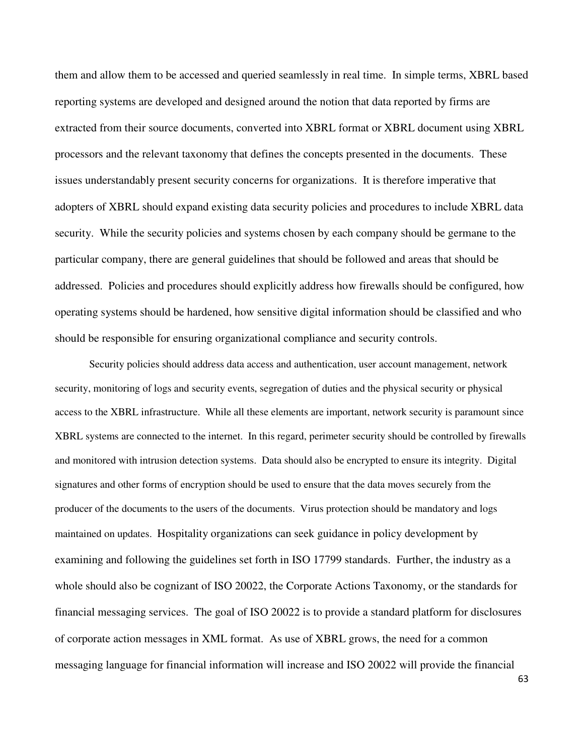them and allow them to be accessed and queried seamlessly in real time. In simple terms, XBRL based reporting systems are developed and designed around the notion that data reported by firms are extracted from their source documents, converted into XBRL format or XBRL document using XBRL processors and the relevant taxonomy that defines the concepts presented in the documents. These issues understandably present security concerns for organizations. It is therefore imperative that adopters of XBRL should expand existing data security policies and procedures to include XBRL data security. While the security policies and systems chosen by each company should be germane to the particular company, there are general guidelines that should be followed and areas that should be addressed. Policies and procedures should explicitly address how firewalls should be configured, how operating systems should be hardened, how sensitive digital information should be classified and who should be responsible for ensuring organizational compliance and security controls.

Security policies should address data access and authentication, user account management, network security, monitoring of logs and security events, segregation of duties and the physical security or physical access to the XBRL infrastructure. While all these elements are important, network security is paramount since XBRL systems are connected to the internet. In this regard, perimeter security should be controlled by firewalls and monitored with intrusion detection systems. Data should also be encrypted to ensure its integrity. Digital signatures and other forms of encryption should be used to ensure that the data moves securely from the producer of the documents to the users of the documents. Virus protection should be mandatory and logs maintained on updates. Hospitality organizations can seek guidance in policy development by examining and following the guidelines set forth in ISO 17799 standards. Further, the industry as a whole should also be cognizant of ISO 20022, the Corporate Actions Taxonomy, or the standards for financial messaging services. The goal of ISO 20022 is to provide a standard platform for disclosures of corporate action messages in XML format. As use of XBRL grows, the need for a common messaging language for financial information will increase and ISO 20022 will provide the financial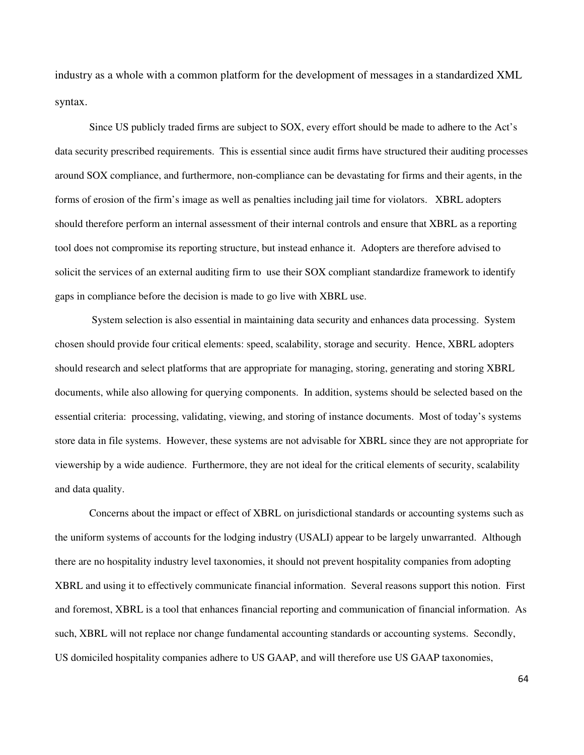industry as a whole with a common platform for the development of messages in a standardized XML syntax.

Since US publicly traded firms are subject to SOX, every effort should be made to adhere to the Act's data security prescribed requirements. This is essential since audit firms have structured their auditing processes around SOX compliance, and furthermore, non-compliance can be devastating for firms and their agents, in the forms of erosion of the firm's image as well as penalties including jail time for violators. XBRL adopters should therefore perform an internal assessment of their internal controls and ensure that XBRL as a reporting tool does not compromise its reporting structure, but instead enhance it. Adopters are therefore advised to solicit the services of an external auditing firm to use their SOX compliant standardize framework to identify gaps in compliance before the decision is made to go live with XBRL use.

 System selection is also essential in maintaining data security and enhances data processing. System chosen should provide four critical elements: speed, scalability, storage and security. Hence, XBRL adopters should research and select platforms that are appropriate for managing, storing, generating and storing XBRL documents, while also allowing for querying components. In addition, systems should be selected based on the essential criteria: processing, validating, viewing, and storing of instance documents. Most of today's systems store data in file systems. However, these systems are not advisable for XBRL since they are not appropriate for viewership by a wide audience. Furthermore, they are not ideal for the critical elements of security, scalability and data quality.

Concerns about the impact or effect of XBRL on jurisdictional standards or accounting systems such as the uniform systems of accounts for the lodging industry (USALI) appear to be largely unwarranted. Although there are no hospitality industry level taxonomies, it should not prevent hospitality companies from adopting XBRL and using it to effectively communicate financial information. Several reasons support this notion. First and foremost, XBRL is a tool that enhances financial reporting and communication of financial information. As such, XBRL will not replace nor change fundamental accounting standards or accounting systems. Secondly, US domiciled hospitality companies adhere to US GAAP, and will therefore use US GAAP taxonomies,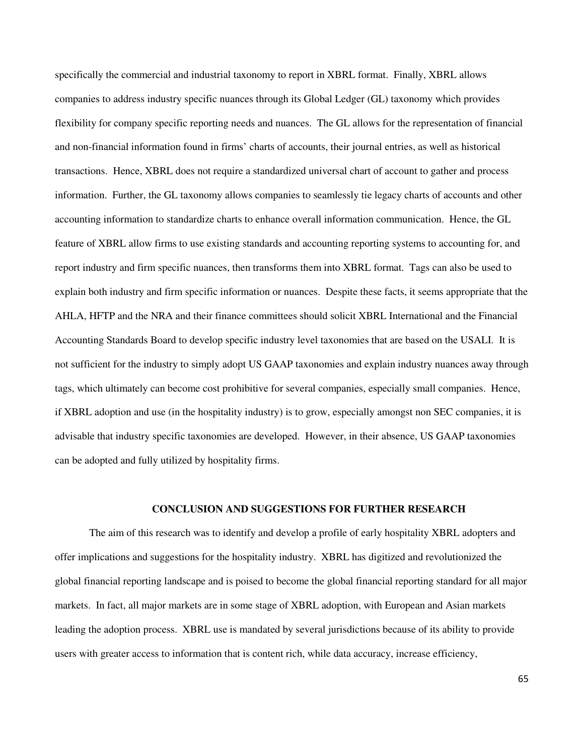specifically the commercial and industrial taxonomy to report in XBRL format. Finally, XBRL allows companies to address industry specific nuances through its Global Ledger (GL) taxonomy which provides flexibility for company specific reporting needs and nuances. The GL allows for the representation of financial and non-financial information found in firms' charts of accounts, their journal entries, as well as historical transactions. Hence, XBRL does not require a standardized universal chart of account to gather and process information. Further, the GL taxonomy allows companies to seamlessly tie legacy charts of accounts and other accounting information to standardize charts to enhance overall information communication. Hence, the GL feature of XBRL allow firms to use existing standards and accounting reporting systems to accounting for, and report industry and firm specific nuances, then transforms them into XBRL format. Tags can also be used to explain both industry and firm specific information or nuances. Despite these facts, it seems appropriate that the AHLA, HFTP and the NRA and their finance committees should solicit XBRL International and the Financial Accounting Standards Board to develop specific industry level taxonomies that are based on the USALI. It is not sufficient for the industry to simply adopt US GAAP taxonomies and explain industry nuances away through tags, which ultimately can become cost prohibitive for several companies, especially small companies. Hence, if XBRL adoption and use (in the hospitality industry) is to grow, especially amongst non SEC companies, it is advisable that industry specific taxonomies are developed. However, in their absence, US GAAP taxonomies can be adopted and fully utilized by hospitality firms.

### **CONCLUSION AND SUGGESTIONS FOR FURTHER RESEARCH**

The aim of this research was to identify and develop a profile of early hospitality XBRL adopters and offer implications and suggestions for the hospitality industry. XBRL has digitized and revolutionized the global financial reporting landscape and is poised to become the global financial reporting standard for all major markets. In fact, all major markets are in some stage of XBRL adoption, with European and Asian markets leading the adoption process. XBRL use is mandated by several jurisdictions because of its ability to provide users with greater access to information that is content rich, while data accuracy, increase efficiency,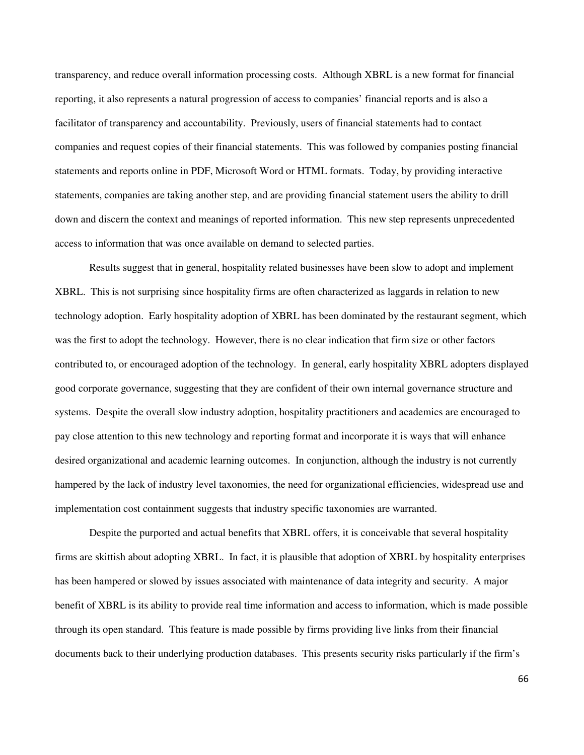transparency, and reduce overall information processing costs. Although XBRL is a new format for financial reporting, it also represents a natural progression of access to companies' financial reports and is also a facilitator of transparency and accountability. Previously, users of financial statements had to contact companies and request copies of their financial statements. This was followed by companies posting financial statements and reports online in PDF, Microsoft Word or HTML formats. Today, by providing interactive statements, companies are taking another step, and are providing financial statement users the ability to drill down and discern the context and meanings of reported information. This new step represents unprecedented access to information that was once available on demand to selected parties.

Results suggest that in general, hospitality related businesses have been slow to adopt and implement XBRL. This is not surprising since hospitality firms are often characterized as laggards in relation to new technology adoption. Early hospitality adoption of XBRL has been dominated by the restaurant segment, which was the first to adopt the technology. However, there is no clear indication that firm size or other factors contributed to, or encouraged adoption of the technology. In general, early hospitality XBRL adopters displayed good corporate governance, suggesting that they are confident of their own internal governance structure and systems. Despite the overall slow industry adoption, hospitality practitioners and academics are encouraged to pay close attention to this new technology and reporting format and incorporate it is ways that will enhance desired organizational and academic learning outcomes. In conjunction, although the industry is not currently hampered by the lack of industry level taxonomies, the need for organizational efficiencies, widespread use and implementation cost containment suggests that industry specific taxonomies are warranted.

Despite the purported and actual benefits that XBRL offers, it is conceivable that several hospitality firms are skittish about adopting XBRL. In fact, it is plausible that adoption of XBRL by hospitality enterprises has been hampered or slowed by issues associated with maintenance of data integrity and security. A major benefit of XBRL is its ability to provide real time information and access to information, which is made possible through its open standard. This feature is made possible by firms providing live links from their financial documents back to their underlying production databases. This presents security risks particularly if the firm's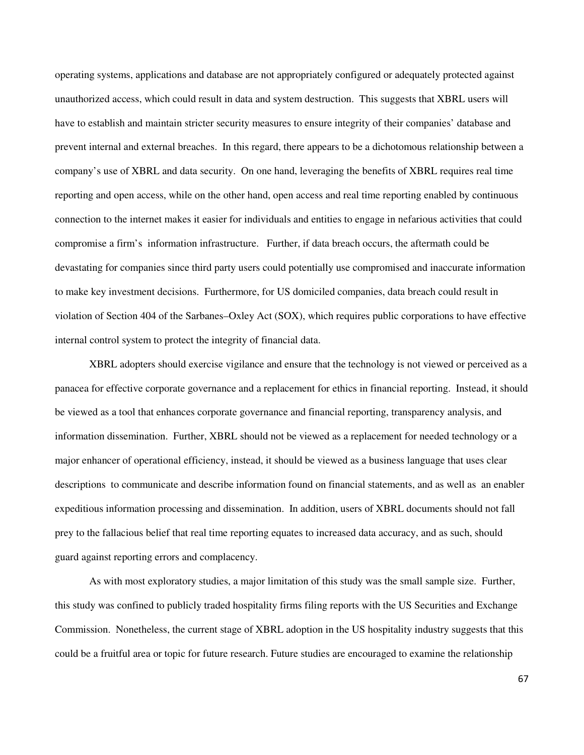operating systems, applications and database are not appropriately configured or adequately protected against unauthorized access, which could result in data and system destruction. This suggests that XBRL users will have to establish and maintain stricter security measures to ensure integrity of their companies' database and prevent internal and external breaches. In this regard, there appears to be a dichotomous relationship between a company's use of XBRL and data security. On one hand, leveraging the benefits of XBRL requires real time reporting and open access, while on the other hand, open access and real time reporting enabled by continuous connection to the internet makes it easier for individuals and entities to engage in nefarious activities that could compromise a firm's information infrastructure. Further, if data breach occurs, the aftermath could be devastating for companies since third party users could potentially use compromised and inaccurate information to make key investment decisions. Furthermore, for US domiciled companies, data breach could result in violation of Section 404 of the Sarbanes–Oxley Act (SOX), which requires public corporations to have effective internal control system to protect the integrity of financial data.

XBRL adopters should exercise vigilance and ensure that the technology is not viewed or perceived as a panacea for effective corporate governance and a replacement for ethics in financial reporting. Instead, it should be viewed as a tool that enhances corporate governance and financial reporting, transparency analysis, and information dissemination. Further, XBRL should not be viewed as a replacement for needed technology or a major enhancer of operational efficiency, instead, it should be viewed as a business language that uses clear descriptions to communicate and describe information found on financial statements, and as well as an enabler expeditious information processing and dissemination. In addition, users of XBRL documents should not fall prey to the fallacious belief that real time reporting equates to increased data accuracy, and as such, should guard against reporting errors and complacency.

As with most exploratory studies, a major limitation of this study was the small sample size. Further, this study was confined to publicly traded hospitality firms filing reports with the US Securities and Exchange Commission. Nonetheless, the current stage of XBRL adoption in the US hospitality industry suggests that this could be a fruitful area or topic for future research. Future studies are encouraged to examine the relationship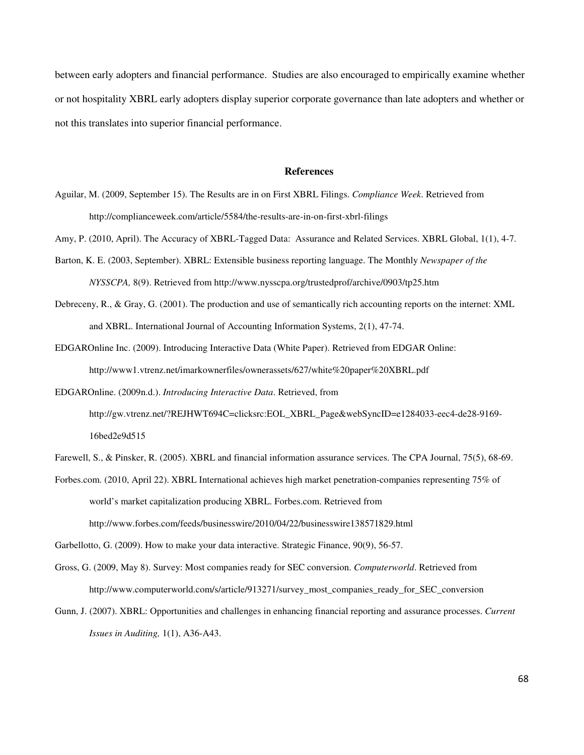between early adopters and financial performance. Studies are also encouraged to empirically examine whether or not hospitality XBRL early adopters display superior corporate governance than late adopters and whether or not this translates into superior financial performance.

#### **References**

- Aguilar, M. (2009, September 15). The Results are in on First XBRL Filings. *Compliance Week*. Retrieved from http://complianceweek.com/article/5584/the-results-are-in-on-first-xbrl-filings
- Amy, P. (2010, April). The Accuracy of XBRL-Tagged Data: Assurance and Related Services. XBRL Global, 1(1), 4-7.
- Barton, K. E. (2003, September). XBRL: Extensible business reporting language. The Monthly *Newspaper of the NYSSCPA,* 8(9). Retrieved from http://www.nysscpa.org/trustedprof/archive/0903/tp25.htm
- Debreceny, R., & Gray, G. (2001). The production and use of semantically rich accounting reports on the internet: XML and XBRL. International Journal of Accounting Information Systems, 2(1), 47-74.
- EDGAROnline Inc. (2009). Introducing Interactive Data (White Paper). Retrieved from EDGAR Online: http://www1.vtrenz.net/imarkownerfiles/ownerassets/627/white%20paper%20XBRL.pdf
- EDGAROnline. (2009n.d.). *Introducing Interactive Data*. Retrieved, from http://gw.vtrenz.net/?REJHWT694C=clicksrc:EOL\_XBRL\_Page&webSyncID=e1284033-eec4-de28-9169- 16bed2e9d515
- Farewell, S., & Pinsker, R. (2005). XBRL and financial information assurance services. The CPA Journal, 75(5), 68-69.
- Forbes.com. (2010, April 22). XBRL International achieves high market penetration-companies representing 75% of world's market capitalization producing XBRL. Forbes.com. Retrieved from http://www.forbes.com/feeds/businesswire/2010/04/22/businesswire138571829.html

Garbellotto, G. (2009). How to make your data interactive. Strategic Finance, 90(9), 56-57.

- Gross, G. (2009, May 8). Survey: Most companies ready for SEC conversion. *Computerworld*. Retrieved from http://www.computerworld.com/s/article/913271/survey\_most\_companies\_ready\_for\_SEC\_conversion
- Gunn, J. (2007). XBRL: Opportunities and challenges in enhancing financial reporting and assurance processes. *Current Issues in Auditing,* 1(1), A36-A43.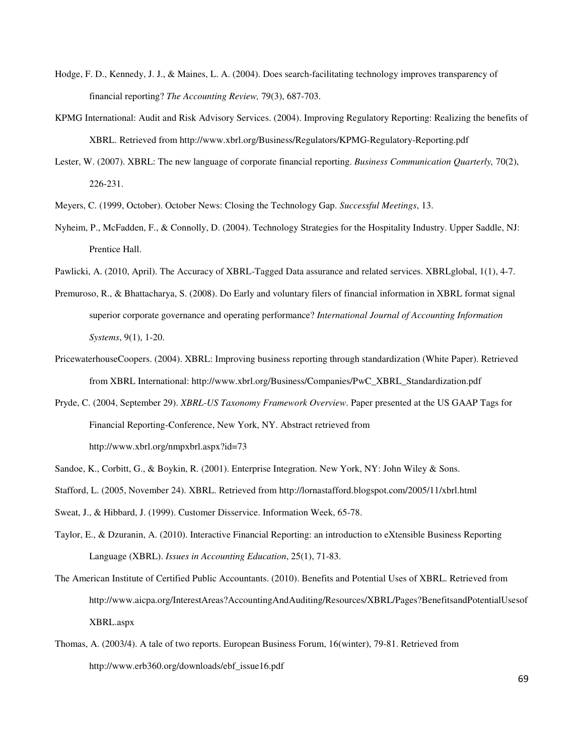- Hodge, F. D., Kennedy, J. J., & Maines, L. A. (2004). Does search-facilitating technology improves transparency of financial reporting? *The Accounting Review,* 79(3), 687-703.
- KPMG International: Audit and Risk Advisory Services. (2004). Improving Regulatory Reporting: Realizing the benefits of XBRL. Retrieved from http://www.xbrl.org/Business/Regulators/KPMG-Regulatory-Reporting.pdf
- Lester, W. (2007). XBRL: The new language of corporate financial reporting. *Business Communication Quarterly,* 70(2), 226-231.
- Meyers, C. (1999, October). October News: Closing the Technology Gap. *Successful Meetings*, 13.
- Nyheim, P., McFadden, F., & Connolly, D. (2004). Technology Strategies for the Hospitality Industry. Upper Saddle, NJ: Prentice Hall.
- Pawlicki, A. (2010, April). The Accuracy of XBRL-Tagged Data assurance and related services. XBRLglobal, 1(1), 4-7.
- Premuroso, R., & Bhattacharya, S. (2008). Do Early and voluntary filers of financial information in XBRL format signal superior corporate governance and operating performance? *International Journal of Accounting Information Systems*, 9(1), 1-20.
- PricewaterhouseCoopers. (2004). XBRL: Improving business reporting through standardization (White Paper). Retrieved from XBRL International: http://www.xbrl.org/Business/Companies/PwC\_XBRL\_Standardization.pdf
- Pryde, C. (2004, September 29). *XBRL-US Taxonomy Framework Overview*. Paper presented at the US GAAP Tags for Financial Reporting-Conference, New York, NY. Abstract retrieved from http://www.xbrl.org/nmpxbrl.aspx?id=73
- Sandoe, K., Corbitt, G., & Boykin, R. (2001). Enterprise Integration. New York, NY: John Wiley & Sons.
- Stafford, L. (2005, November 24). XBRL. Retrieved from http://lornastafford.blogspot.com/2005/11/xbrl.html

Sweat, J., & Hibbard, J. (1999). Customer Disservice. Information Week, 65-78.

Taylor, E., & Dzuranin, A. (2010). Interactive Financial Reporting: an introduction to eXtensible Business Reporting Language (XBRL). *Issues in Accounting Education*, 25(1), 71-83.

The American Institute of Certified Public Accountants. (2010). Benefits and Potential Uses of XBRL. Retrieved from http://www.aicpa.org/InterestAreas?AccountingAndAuditing/Resources/XBRL/Pages?BenefitsandPotentialUsesof XBRL.aspx

Thomas, A. (2003/4). A tale of two reports. European Business Forum, 16(winter), 79-81. Retrieved from http://www.erb360.org/downloads/ebf\_issue16.pdf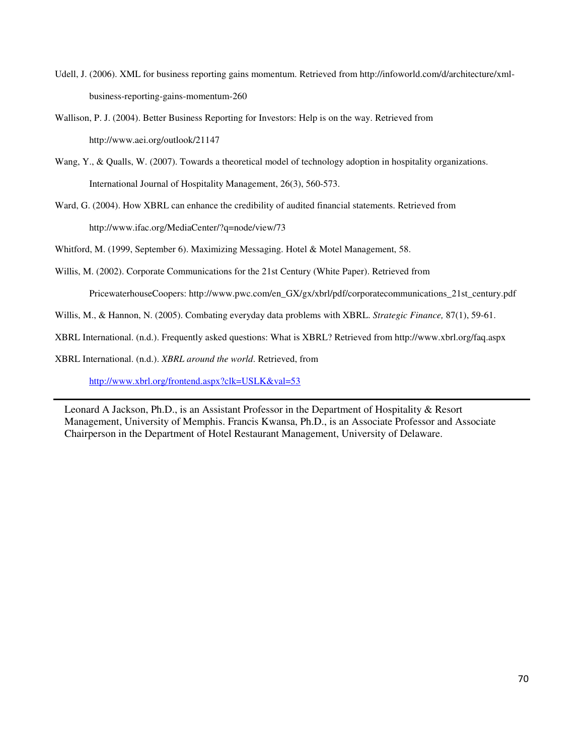- Udell, J. (2006). XML for business reporting gains momentum. Retrieved from http://infoworld.com/d/architecture/xmlbusiness-reporting-gains-momentum-260
- Wallison, P. J. (2004). Better Business Reporting for Investors: Help is on the way. Retrieved from http://www.aei.org/outlook/21147
- Wang, Y., & Qualls, W. (2007). Towards a theoretical model of technology adoption in hospitality organizations. International Journal of Hospitality Management, 26(3), 560-573.
- Ward, G. (2004). How XBRL can enhance the credibility of audited financial statements. Retrieved from http://www.ifac.org/MediaCenter/?q=node/view/73

Whitford, M. (1999, September 6). Maximizing Messaging. Hotel & Motel Management, 58.

Willis, M. (2002). Corporate Communications for the 21st Century (White Paper). Retrieved from

PricewaterhouseCoopers: http://www.pwc.com/en\_GX/gx/xbrl/pdf/corporatecommunications\_21st\_century.pdf

Willis, M., & Hannon, N. (2005). Combating everyday data problems with XBRL. *Strategic Finance,* 87(1), 59-61.

XBRL International. (n.d.). Frequently asked questions: What is XBRL? Retrieved from http://www.xbrl.org/faq.aspx

XBRL International. (n.d.). *XBRL around the world*. Retrieved, from

http://www.xbrl.org/frontend.aspx?clk=USLK&val=53

Leonard A Jackson, Ph.D., is an Assistant Professor in the Department of Hospitality & Resort Management, University of Memphis. Francis Kwansa, Ph.D., is an Associate Professor and Associate Chairperson in the Department of Hotel Restaurant Management, University of Delaware.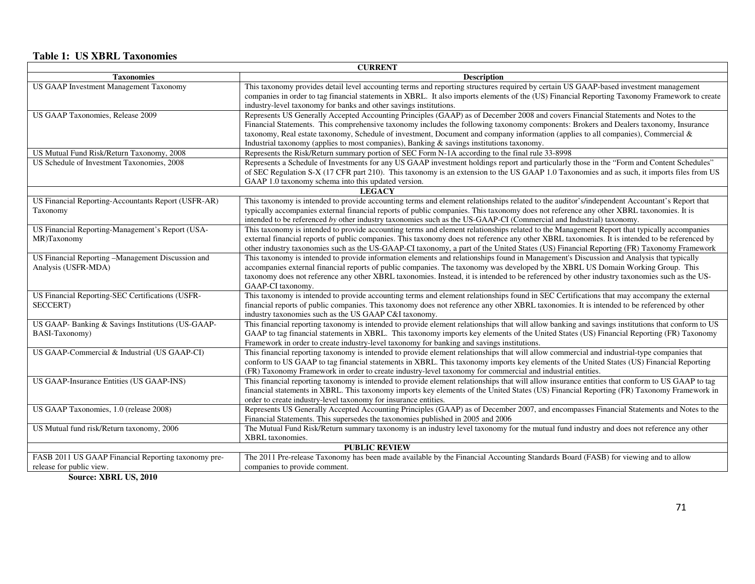# **Table 1: US XBRL Taxonomies**

| <b>CURRENT</b>                                      |                                                                                                                                                    |  |  |  |  |  |  |  |
|-----------------------------------------------------|----------------------------------------------------------------------------------------------------------------------------------------------------|--|--|--|--|--|--|--|
| <b>Taxonomies</b>                                   | <b>Description</b>                                                                                                                                 |  |  |  |  |  |  |  |
| US GAAP Investment Management Taxonomy              | This taxonomy provides detail level accounting terms and reporting structures required by certain US GAAP-based investment management              |  |  |  |  |  |  |  |
|                                                     | companies in order to tag financial statements in XBRL. It also imports elements of the (US) Financial Reporting Taxonomy Framework to create      |  |  |  |  |  |  |  |
|                                                     | industry-level taxonomy for banks and other savings institutions.                                                                                  |  |  |  |  |  |  |  |
| US GAAP Taxonomies, Release 2009                    | Represents US Generally Accepted Accounting Principles (GAAP) as of December 2008 and covers Financial Statements and Notes to the                 |  |  |  |  |  |  |  |
|                                                     | Financial Statements. This comprehensive taxonomy includes the following taxonomy components: Brokers and Dealers taxonomy, Insurance              |  |  |  |  |  |  |  |
|                                                     | taxonomy, Real estate taxonomy, Schedule of investment, Document and company information (applies to all companies), Commercial &                  |  |  |  |  |  |  |  |
|                                                     | Industrial taxonomy (applies to most companies), Banking & savings institutions taxonomy.                                                          |  |  |  |  |  |  |  |
| US Mutual Fund Risk/Return Taxonomy, 2008           | Represents the Risk/Return summary portion of SEC Form N-1A according to the final rule 33-8998                                                    |  |  |  |  |  |  |  |
| US Schedule of Investment Taxonomies, 2008          | Represents a Schedule of Investments for any US GAAP investment holdings report and particularly those in the "Form and Content Schedules"         |  |  |  |  |  |  |  |
|                                                     | of SEC Regulation S-X (17 CFR part 210). This taxonomy is an extension to the US GAAP 1.0 Taxonomies and as such, it imports files from US         |  |  |  |  |  |  |  |
|                                                     | GAAP 1.0 taxonomy schema into this updated version.                                                                                                |  |  |  |  |  |  |  |
|                                                     | <b>LEGACY</b>                                                                                                                                      |  |  |  |  |  |  |  |
| US Financial Reporting-Accountants Report (USFR-AR) | This taxonomy is intended to provide accounting terms and element relationships related to the auditor's/independent Accountant's Report that      |  |  |  |  |  |  |  |
| Taxonomy                                            | typically accompanies external financial reports of public companies. This taxonomy does not reference any other XBRL taxonomies. It is            |  |  |  |  |  |  |  |
|                                                     | intended to be referenced by other industry taxonomies such as the US-GAAP-CI (Commercial and Industrial) taxonomy.                                |  |  |  |  |  |  |  |
| US Financial Reporting-Management's Report (USA-    | This taxonomy is intended to provide accounting terms and element relationships related to the Management Report that typically accompanies        |  |  |  |  |  |  |  |
| MR)Taxonomy                                         | external financial reports of public companies. This taxonomy does not reference any other XBRL taxonomies. It is intended to be referenced by     |  |  |  |  |  |  |  |
|                                                     | other industry taxonomies such as the US-GAAP-CI taxonomy, a part of the United States (US) Financial Reporting (FR) Taxonomy Framework            |  |  |  |  |  |  |  |
| US Financial Reporting -Management Discussion and   | This taxonomy is intended to provide information elements and relationships found in Management's Discussion and Analysis that typically           |  |  |  |  |  |  |  |
| Analysis (USFR-MDA)                                 | accompanies external financial reports of public companies. The taxonomy was developed by the XBRL US Domain Working Group. This                   |  |  |  |  |  |  |  |
|                                                     | taxonomy does not reference any other XBRL taxonomies. Instead, it is intended to be referenced by other industry taxonomies such as the US-       |  |  |  |  |  |  |  |
|                                                     | GAAP-CI taxonomy.                                                                                                                                  |  |  |  |  |  |  |  |
| US Financial Reporting-SEC Certifications (USFR-    | This taxonomy is intended to provide accounting terms and element relationships found in SEC Certifications that may accompany the external        |  |  |  |  |  |  |  |
| SECCERT)                                            | financial reports of public companies. This taxonomy does not reference any other XBRL taxonomies. It is intended to be referenced by other        |  |  |  |  |  |  |  |
|                                                     | industry taxonomies such as the US GAAP C&I taxonomy.                                                                                              |  |  |  |  |  |  |  |
| US GAAP- Banking & Savings Institutions (US-GAAP-   | This financial reporting taxonomy is intended to provide element relationships that will allow banking and savings institutions that conform to US |  |  |  |  |  |  |  |
| BASI-Taxonomy)                                      | GAAP to tag financial statements in XBRL. This taxonomy imports key elements of the United States (US) Financial Reporting (FR) Taxonomy           |  |  |  |  |  |  |  |
|                                                     | Framework in order to create industry-level taxonomy for banking and savings institutions.                                                         |  |  |  |  |  |  |  |
| US GAAP-Commercial & Industrial (US GAAP-CI)        | This financial reporting taxonomy is intended to provide element relationships that will allow commercial and industrial-type companies that       |  |  |  |  |  |  |  |
|                                                     | conform to US GAAP to tag financial statements in XBRL. This taxonomy imports key elements of the United States (US) Financial Reporting           |  |  |  |  |  |  |  |
|                                                     | (FR) Taxonomy Framework in order to create industry-level taxonomy for commercial and industrial entities.                                         |  |  |  |  |  |  |  |
| US GAAP-Insurance Entities (US GAAP-INS)            | This financial reporting taxonomy is intended to provide element relationships that will allow insurance entities that conform to US GAAP to tag   |  |  |  |  |  |  |  |
|                                                     | financial statements in XBRL. This taxonomy imports key elements of the United States (US) Financial Reporting (FR) Taxonomy Framework in          |  |  |  |  |  |  |  |
|                                                     | order to create industry-level taxonomy for insurance entities.                                                                                    |  |  |  |  |  |  |  |
| US GAAP Taxonomies, 1.0 (release 2008)              | Represents US Generally Accepted Accounting Principles (GAAP) as of December 2007, and encompasses Financial Statements and Notes to the           |  |  |  |  |  |  |  |
|                                                     | Financial Statements. This supersedes the taxonomies published in 2005 and 2006                                                                    |  |  |  |  |  |  |  |
| US Mutual fund risk/Return taxonomy, 2006           | The Mutual Fund Risk/Return summary taxonomy is an industry level taxonomy for the mutual fund industry and does not reference any other           |  |  |  |  |  |  |  |
|                                                     | XBRL taxonomies.                                                                                                                                   |  |  |  |  |  |  |  |
| <b>PUBLIC REVIEW</b>                                |                                                                                                                                                    |  |  |  |  |  |  |  |
| FASB 2011 US GAAP Financial Reporting taxonomy pre- | The 2011 Pre-release Taxonomy has been made available by the Financial Accounting Standards Board (FASB) for viewing and to allow                  |  |  |  |  |  |  |  |
| release for public view.                            | companies to provide comment.                                                                                                                      |  |  |  |  |  |  |  |

**Source: XBRL US, 2010**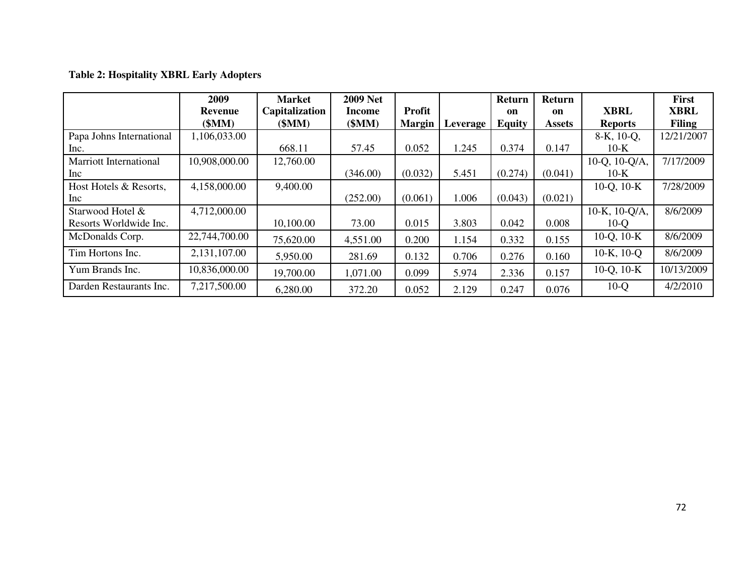### **Table 2: Hospitality XBRL Early Adopters**

|                               | 2009           | <b>Market</b>  | <b>2009 Net</b> |               |          | Return        | Return        |                 | First         |
|-------------------------------|----------------|----------------|-----------------|---------------|----------|---------------|---------------|-----------------|---------------|
|                               | <b>Revenue</b> | Capitalization | Income          | <b>Profit</b> |          | on            | on            | <b>XBRL</b>     | <b>XBRL</b>   |
|                               | (SMM)          | (SMM)          | (SMM)           | <b>Margin</b> | Leverage | <b>Equity</b> | <b>Assets</b> | <b>Reports</b>  | <b>Filing</b> |
| Papa Johns International      | 1,106,033.00   |                |                 |               |          |               |               | 8-K, 10-Q,      | 12/21/2007    |
| Inc.                          |                | 668.11         | 57.45           | 0.052         | 1.245    | 0.374         | 0.147         | $10-K$          |               |
| <b>Marriott International</b> | 10,908,000.00  | 12,760.00      |                 |               |          |               |               | 10-Q, 10-Q/A,   | 7/17/2009     |
| Inc.                          |                |                | (346.00)        | (0.032)       | 5.451    | (0.274)       | (0.041)       | $10-K$          |               |
| Host Hotels & Resorts,        | 4,158,000.00   | 9,400.00       |                 |               |          |               |               | 10-Q, $10-K$    | 7/28/2009     |
| Inc.                          |                |                | (252.00)        | (0.061)       | 1.006    | (0.043)       | (0.021)       |                 |               |
| Starwood Hotel &              | 4,712,000.00   |                |                 |               |          |               |               | 10-K, 10-Q/A,   | 8/6/2009      |
| Resorts Worldwide Inc.        |                | 10,100.00      | 73.00           | 0.015         | 3.803    | 0.042         | 0.008         | $10-Q$          |               |
| McDonalds Corp.               | 22,744,700.00  | 75,620.00      | 4,551.00        | 0.200         | 1.154    | 0.332         | 0.155         | 10-Q, $10-K$    | 8/6/2009      |
| Tim Hortons Inc.              | 2,131,107.00   | 5,950.00       | 281.69          | 0.132         | 0.706    | 0.276         | 0.160         | $10-K$ , $10-O$ | 8/6/2009      |
| Yum Brands Inc.               | 10,836,000.00  | 19,700.00      | 1,071.00        | 0.099         | 5.974    | 2.336         | 0.157         | 10-Q, $10-K$    | 10/13/2009    |
| Darden Restaurants Inc.       | 7,217,500.00   | 6,280.00       | 372.20          | 0.052         | 2.129    | 0.247         | 0.076         | $10-Q$          | 4/2/2010      |